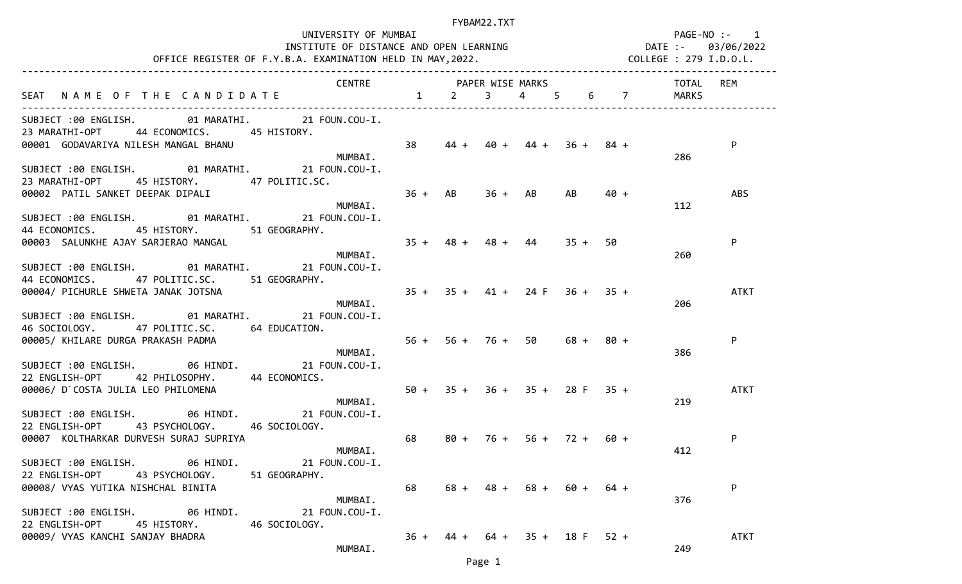| UNIVERSITY OF MUMBAI                                                                                                                                                                                                                     |                                 |        |                                 |      |           |                        |       | PAGE-NO :- 1 |
|------------------------------------------------------------------------------------------------------------------------------------------------------------------------------------------------------------------------------------------|---------------------------------|--------|---------------------------------|------|-----------|------------------------|-------|--------------|
| INSTITUTE OF DISTANCE AND OPEN LEARNING<br>INSTITUTE OF DISTANCE AND OPEN LEARNING                                                                                                                                                       |                                 |        |                                 |      |           |                        |       |              |
| OFFICE REGISTER OF F.Y.B.A. EXAMINATION HELD IN MAY, 2022.                                                                                                                                                                               |                                 |        |                                 |      |           | COLLEGE : 279 I.D.O.L. |       |              |
| CENTRE PAPER WISE MARKS                                                                                                                                                                                                                  |                                 |        |                                 |      |           |                        | TOTAL | REM          |
| SEAT NAME OF THE CANDIDATE 1 2 3 4 5                                                                                                                                                                                                     |                                 |        |                                 |      |           | $6\qquad 7$            | MARKS |              |
|                                                                                                                                                                                                                                          |                                 |        |                                 |      |           |                        |       |              |
| SUBJECT :00 ENGLISH. 01 MARATHI. 21 FOUN.COU-I.<br>23 MARATHI-OPT 44 ECONOMICS. 45 HISTORY.                                                                                                                                              |                                 |        |                                 |      |           |                        |       |              |
| 00001 GODAVARIYA NILESH MANGAL BHANU                                                                                                                                                                                                     | 38                              | $44 +$ | $40 + 44 + 36 + 84 +$           |      |           |                        |       | P            |
| MUMBAI.                                                                                                                                                                                                                                  |                                 |        |                                 |      |           |                        | 286   |              |
| SUBJECT :00 ENGLISH. 01 MARATHI. 21 FOUN.COU-I.                                                                                                                                                                                          |                                 |        |                                 |      |           |                        |       |              |
| 23 MARATHI-OPT 45 HISTORY. 47 POLITIC.SC.                                                                                                                                                                                                |                                 |        |                                 |      |           |                        |       |              |
| 00002 PATIL SANKET DEEPAK DIPALI                                                                                                                                                                                                         | $36 + AB$ $36 + AB$ $AB$ $40 +$ |        |                                 |      |           |                        |       | <b>ABS</b>   |
| MUMBAI.                                                                                                                                                                                                                                  |                                 |        |                                 |      |           |                        | 112   |              |
| SUBJECT :00 ENGLISH. 01 MARATHI. 21 FOUN.COU-I.                                                                                                                                                                                          |                                 |        |                                 |      |           |                        |       |              |
| 44 ECONOMICS.<br>45 HISTORY. 51 GEOGRAPHY.                                                                                                                                                                                               |                                 |        |                                 |      |           |                        |       |              |
| $35 + 48 + 48 + 44$<br>00003 SALUNKHE AJAY SARJERAO MANGAL                                                                                                                                                                               |                                 |        |                                 |      | $35 + 50$ |                        |       | P            |
| MUMBAI.                                                                                                                                                                                                                                  |                                 |        |                                 |      |           |                        | 260   |              |
| SUBJECT :00 ENGLISH. 01 MARATHI. 21 FOUN.COU-I.                                                                                                                                                                                          |                                 |        |                                 |      |           |                        |       |              |
| 44 ECONOMICS. 47 POLITIC.SC. 51 GEOGRAPHY.                                                                                                                                                                                               |                                 |        |                                 |      |           |                        |       |              |
| 00004/PICHURLE SHWETA JANAK JOTSNA $\begin{array}{cccc} 35 & + & 35 & + & 41 & + & 24 & + & 36 & + & 35 & + \\ 0 & - & - & - & - & - & - & - \\ 0 & - & - & - & - & - & - \\ 0 & - & - & - & - & - \\ 0 & - & - & - & - & - \end{array}$ |                                 |        |                                 |      |           |                        |       | ATKT         |
| MUMBAI.                                                                                                                                                                                                                                  |                                 |        |                                 |      |           |                        | 206   |              |
| SUBJECT :00 ENGLISH. 01 MARATHI. 21 FOUN.COU-I.                                                                                                                                                                                          |                                 |        |                                 |      |           |                        |       |              |
| 46 SOCIOLOGY. 47 POLITIC.SC. 64 EDUCATION.                                                                                                                                                                                               |                                 |        |                                 |      |           |                        |       |              |
| 00005/ KHILARE DURGA PRAKASH PADMA                                                                                                                                                                                                       |                                 |        | $56 + 56 + 76 + 50$ $68 + 80 +$ |      |           |                        |       | P            |
| MUMBAI.                                                                                                                                                                                                                                  |                                 |        |                                 |      |           |                        | 386   |              |
| SUBJECT :00 ENGLISH. 06 HINDI. 21 FOUN.COU-I.                                                                                                                                                                                            |                                 |        |                                 |      |           |                        |       |              |
| 22 ENGLISH-OPT 42 PHILOSOPHY. 44 ECONOMICS.                                                                                                                                                                                              |                                 |        |                                 |      |           |                        |       |              |
| 00006/ D`COSTA JULIA LEO PHILOMENA<br>MUMBAI.                                                                                                                                                                                            |                                 |        | $50 + 35 + 36 + 35 + 28$ F 35 + |      |           |                        |       | <b>ATKT</b>  |
|                                                                                                                                                                                                                                          |                                 |        |                                 |      |           |                        | 219   |              |
| SUBJECT :00 ENGLISH. 06 HINDI. 21 FOUN.COU-I.                                                                                                                                                                                            |                                 |        |                                 |      |           |                        |       |              |
| 22 ENGLISH-OPT 43 PSYCHOLOGY. 46 SOCIOLOGY.                                                                                                                                                                                              |                                 |        |                                 |      |           |                        |       |              |
| 00007 KOLTHARKAR DURVESH SURAJ SUPRIYA                                                                                                                                                                                                   | 68 —                            |        | $80 + 76 + 56 + 72 + 60 +$      |      |           |                        |       | P            |
| MUMBAI.                                                                                                                                                                                                                                  |                                 |        |                                 |      |           |                        | 412   |              |
| SUBJECT:00 ENGLISH. 06 HINDI.<br>21 FOUN.COU-I.                                                                                                                                                                                          |                                 |        |                                 |      |           |                        |       |              |
| 22 ENGLISH-OPT<br>43 PSYCHOLOGY.<br>51 GEOGRAPHY.                                                                                                                                                                                        |                                 |        |                                 |      |           |                        |       |              |
| 00008/ VYAS YUTIKA NISHCHAL BINITA                                                                                                                                                                                                       | 68                              |        | $68 + 48 + 68 +$                | 60 + |           | $64 +$                 |       | P            |
| MUMBAI.                                                                                                                                                                                                                                  |                                 |        |                                 |      |           |                        | 376   |              |
| SUBJECT :00 ENGLISH.<br>06 HINDI.<br>21 FOUN.COU-I.                                                                                                                                                                                      |                                 |        |                                 |      |           |                        |       |              |
| 22 ENGLISH-OPT<br>45 HISTORY.<br>46 SOCIOLOGY.                                                                                                                                                                                           |                                 |        |                                 |      |           |                        |       |              |
| 00009/ VYAS KANCHI SANJAY BHADRA                                                                                                                                                                                                         | $36 +$                          |        | $44 + 64 + 35 + 18$ F 52 +      |      |           |                        |       | <b>ATKT</b>  |

MUMBAI. 249

Page 1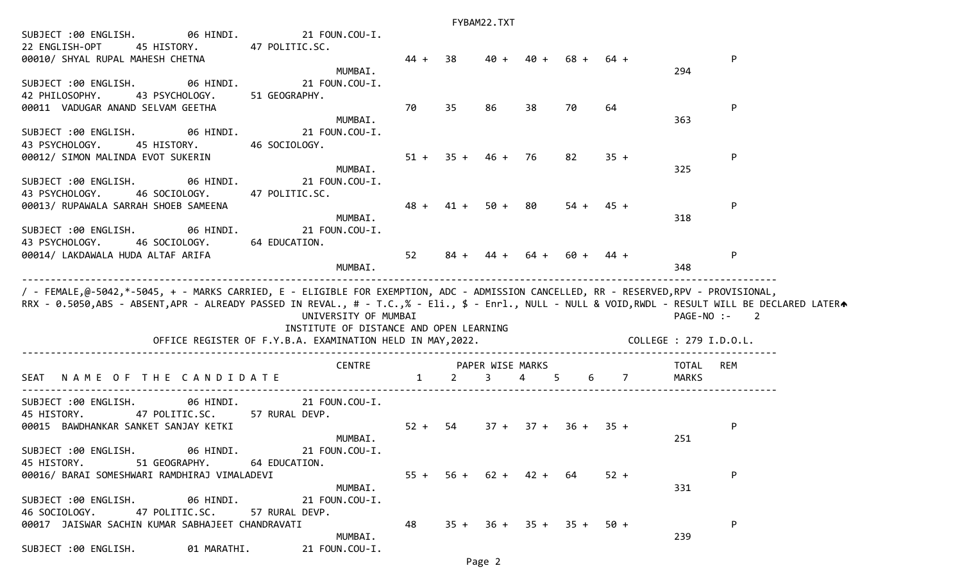|                                                                                                                                                   |                                                            |        |         | FYBAM22.TXT                |                |        |             |                        |                            |  |
|---------------------------------------------------------------------------------------------------------------------------------------------------|------------------------------------------------------------|--------|---------|----------------------------|----------------|--------|-------------|------------------------|----------------------------|--|
| SUBJECT :00 ENGLISH. 06 HINDI. 21 FOUN.COU-I.                                                                                                     |                                                            |        |         |                            |                |        |             |                        |                            |  |
| 22 ENGLISH-OPT<br>45 HISTORY.                                                                                                                     | 47 POLITIC.SC.                                             |        |         |                            |                |        |             |                        |                            |  |
| 00010/ SHYAL RUPAL MAHESH CHETNA                                                                                                                  |                                                            | $44 +$ | 38      | $40 +$                     | 40 +           | 68 +   | $64 +$      |                        | P                          |  |
|                                                                                                                                                   | MUMBAI.                                                    |        |         |                            |                |        |             | 294                    |                            |  |
| SUBJECT :00 ENGLISH. 06 HINDI.                                                                                                                    | 21 FOUN.COU-I.                                             |        |         |                            |                |        |             |                        |                            |  |
| 42 PHILOSOPHY.<br>43 PSYCHOLOGY.                                                                                                                  | 51 GEOGRAPHY.                                              |        |         |                            |                |        |             |                        |                            |  |
| 00011 VADUGAR ANAND SELVAM GEETHA                                                                                                                 |                                                            | 70     | 35      | 86                         | 38             | 70     | 64          |                        | P                          |  |
|                                                                                                                                                   | MUMBAI.                                                    |        |         |                            |                |        |             | 363                    |                            |  |
| 06 HINDI.<br>SUBJECT :00 ENGLISH.                                                                                                                 | 21 FOUN.COU-I.                                             |        |         |                            |                |        |             |                        |                            |  |
| 43 PSYCHOLOGY.<br>45 HISTORY.                                                                                                                     | 46 SOCIOLOGY.                                              |        |         |                            |                |        |             |                        |                            |  |
| 00012/ SIMON MALINDA EVOT SUKERIN                                                                                                                 |                                                            | $51 +$ |         | $35 + 46 + 76$             |                | 82     | $35 +$      |                        | P                          |  |
|                                                                                                                                                   | MUMBAI.                                                    |        |         |                            |                |        |             | 325                    |                            |  |
| 06 HINDI.<br>SUBJECT :00 ENGLISH.                                                                                                                 | 21 FOUN.COU-I.                                             |        |         |                            |                |        |             |                        |                            |  |
| 43 PSYCHOLOGY.<br>46 SOCIOLOGY.                                                                                                                   | 47 POLITIC.SC.                                             |        |         |                            |                |        |             |                        |                            |  |
| 00013/ RUPAWALA SARRAH SHOEB SAMEENA                                                                                                              |                                                            | $48 +$ |         | $41 + 50 +$                | 80             | $54 +$ | $45 +$      |                        | P                          |  |
|                                                                                                                                                   | MUMBAI.                                                    |        |         |                            |                |        |             | 318                    |                            |  |
| SUBJECT :00 ENGLISH.                                                                                                                              | 06 HINDI.<br>21 FOUN.COU-I.                                |        |         |                            |                |        |             |                        |                            |  |
| 46 SOCIOLOGY.<br>43 PSYCHOLOGY.                                                                                                                   | 64 EDUCATION.                                              |        |         |                            |                |        |             |                        |                            |  |
| 00014/ LAKDAWALA HUDA ALTAF ARIFA                                                                                                                 |                                                            | 52     |         | $84 + 44 +$                | 64 +           |        | 60 + 44 +   |                        | P                          |  |
|                                                                                                                                                   | MUMBAI.                                                    |        |         |                            |                |        |             | 348                    |                            |  |
|                                                                                                                                                   |                                                            |        |         |                            |                |        |             |                        |                            |  |
|                                                                                                                                                   |                                                            |        |         |                            |                |        |             |                        |                            |  |
|                                                                                                                                                   |                                                            |        |         |                            |                |        |             |                        |                            |  |
| / - FEMALE,@-5042,*-5045, + - MARKS CARRIED, E - ELIGIBLE FOR EXEMPTION, ADC - ADMISSION CANCELLED, RR - RESERVED,RPV - PROVISIONAL,              |                                                            |        |         |                            |                |        |             |                        |                            |  |
| RRX - 0.5050,ABS - ABSENT,APR - ALREADY PASSED IN REVAL., # - T.C.,% - Eli., \$ - Enrl., NULL - NULL & VOID,RWDL - RESULT WILL BE DECLARED LATERA |                                                            |        |         |                            |                |        |             |                        |                            |  |
|                                                                                                                                                   | UNIVERSITY OF MUMBAI                                       |        |         |                            |                |        |             | PAGE-NO :-             | $\overline{\phantom{a}}$ 2 |  |
|                                                                                                                                                   | INSTITUTE OF DISTANCE AND OPEN LEARNING                    |        |         |                            |                |        |             |                        |                            |  |
|                                                                                                                                                   | OFFICE REGISTER OF F.Y.B.A. EXAMINATION HELD IN MAY, 2022. |        |         |                            |                |        |             | COLLEGE : 279 I.D.O.L. |                            |  |
|                                                                                                                                                   | <b>CENTRE</b>                                              |        |         | PAPER WISE MARKS           |                |        |             | TOTAL                  | REM                        |  |
| NAME OF THE CANDIDATE<br>SEAT                                                                                                                     |                                                            |        | $1 \t2$ | $\overline{3}$             | $\overline{4}$ | 5      | 6 7         | MARKS                  |                            |  |
|                                                                                                                                                   |                                                            |        |         |                            |                |        |             |                        |                            |  |
| 06 HINDI.<br>SUBJECT :00 ENGLISH.                                                                                                                 | 21 FOUN.COU-I.                                             |        |         |                            |                |        |             |                        |                            |  |
| 45 HISTORY.<br>47 POLITIC.SC. 57 RURAL DEVP.                                                                                                      |                                                            |        |         |                            |                |        |             |                        |                            |  |
| 00015 BAWDHANKAR SANKET SANJAY KETKI                                                                                                              |                                                            | $52 +$ | 54      | $37 +$                     | $37 +$         |        | $36 + 35 +$ |                        | P                          |  |
|                                                                                                                                                   | MUMBAI.                                                    |        |         |                            |                |        |             | 251                    |                            |  |
|                                                                                                                                                   |                                                            |        |         |                            |                |        |             |                        |                            |  |
| SUBJECT :00 ENGLISH. 06 HINDI. 21 FOUN.COU-I.                                                                                                     |                                                            |        |         |                            |                |        |             |                        |                            |  |
| 51 GEOGRAPHY.<br>45 HISTORY.                                                                                                                      | 64 EDUCATION.                                              |        |         |                            |                |        |             |                        |                            |  |
| 00016/ BARAI SOMESHWARI RAMDHIRAJ VIMALADEVI                                                                                                      |                                                            |        |         | $55 + 56 + 62 + 42 + 64$   |                |        | $52 +$      |                        | P                          |  |
|                                                                                                                                                   | MUMBAI.                                                    |        |         |                            |                |        |             | 331                    |                            |  |
| SUBJECT :00 ENGLISH.                                                                                                                              | 06 HINDI.<br>21 FOUN.COU-I.                                |        |         |                            |                |        |             |                        |                            |  |
| 47 POLITIC.SC.<br>46 SOCIOLOGY.                                                                                                                   | 57 RURAL DEVP.                                             |        |         |                            |                |        |             |                        |                            |  |
| 00017 JAISWAR SACHIN KUMAR SABHAJEET CHANDRAVATI                                                                                                  | MUMBAI.                                                    | 48     |         | $35 + 36 + 35 + 35 + 50 +$ |                |        |             | 239                    | $\mathsf{P}$               |  |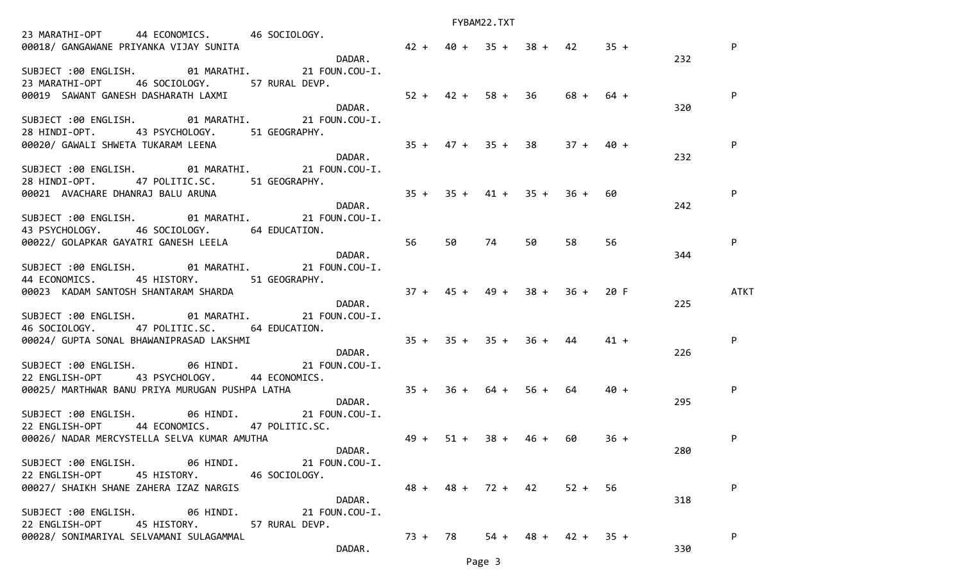| 23 MARATHI-OPT 44 ECONOMICS. 46 SOCIOLOGY.<br>00018/ GANGAWANE PRIYANKA VIJAY SUNITA | DADAR.                          | $42 + 40 + 35 + 38 + 42$ $35 +$ |         |                     |      |                       |        | 232 | P           |
|--------------------------------------------------------------------------------------|---------------------------------|---------------------------------|---------|---------------------|------|-----------------------|--------|-----|-------------|
| SUBJECT :00 ENGLISH. 01 MARATHI. 21 FOUN.COU-I.                                      |                                 |                                 |         |                     |      |                       |        |     |             |
| 23 MARATHI-OPT 46 SOCIOLOGY. 57 RURAL DEVP.                                          |                                 |                                 |         |                     |      |                       |        |     |             |
| 00019 SAWANT GANESH DASHARATH LAXMI                                                  |                                 | $52 + 42 + 58 + 36$             |         |                     |      | 68 + 64 +             |        |     | P           |
|                                                                                      | DADAR.                          |                                 |         |                     |      |                       |        | 320 |             |
| SUBJECT :00 ENGLISH. 01 MARATHI. 21 FOUN.COU-I.                                      |                                 |                                 |         |                     |      |                       |        |     |             |
| 28 HINDI-OPT. 43 PSYCHOLOGY. 51 GEOGRAPHY.                                           |                                 |                                 |         |                     |      |                       |        |     |             |
| 00020/ GAWALI SHWETA TUKARAM LEENA                                                   |                                 |                                 |         | $35 + 47 + 35 + 38$ |      | $37 + 40 +$           |        |     |             |
|                                                                                      | DADAR.                          |                                 |         |                     |      |                       |        | 232 |             |
| SUBJECT :00 ENGLISH. 01 MARATHI. 21 FOUN.COU-I.                                      |                                 |                                 |         |                     |      |                       |        |     |             |
| 28 HINDI-OPT. 47 POLITIC.SC. 51 GEOGRAPHY.                                           |                                 |                                 |         |                     |      |                       |        |     |             |
| 00021 AVACHARE DHANRAJ BALU ARUNA                                                    | $35 + 35 + 41 + 35 + 36 +$      |                                 |         |                     |      |                       | 60     |     | P           |
|                                                                                      | DADAR.                          |                                 |         |                     |      |                       |        | 242 |             |
| SUBJECT :00 ENGLISH. 01 MARATHI. 21 FOUN.COU-I.                                      |                                 |                                 |         |                     |      |                       |        |     |             |
| 43 PSYCHOLOGY. 46 SOCIOLOGY. 64 EDUCATION.                                           |                                 |                                 |         |                     |      |                       |        |     |             |
| 00022/ GOLAPKAR GAYATRI GANESH LEELA                                                 | 56                              |                                 | 50 74   |                     | 50   | 58                    | 56     |     | P           |
|                                                                                      | DADAR.                          |                                 |         |                     |      |                       |        | 344 |             |
| SUBJECT :00 ENGLISH. 01 MARATHI. 21 FOUN.COU-I.                                      |                                 |                                 |         |                     |      |                       |        |     |             |
| 44 ECONOMICS. 45 HISTORY. 51 GEOGRAPHY.                                              |                                 |                                 |         |                     |      |                       |        |     |             |
| 00023 KADAM SANTOSH SHANTARAM SHARDA                                                 | $37 + 45 + 49 + 38 + 36 + 20$ F |                                 |         |                     |      |                       |        |     | <b>ATKT</b> |
|                                                                                      | DADAR.                          |                                 |         |                     |      |                       |        | 225 |             |
| SUBJECT :00 ENGLISH. 01 MARATHI. 21 FOUN.COU-I.                                      |                                 |                                 |         |                     |      |                       |        |     |             |
| 46 SOCIOLOGY. 47 POLITIC.SC. 64 EDUCATION.                                           |                                 |                                 |         |                     |      |                       |        |     |             |
| 00024/ GUPTA SONAL BHAWANIPRASAD LAKSHMI 44 25 25 35 4 35 4 35 4 36 4 44             |                                 |                                 |         |                     |      |                       | $41 +$ |     | P           |
|                                                                                      | DADAR.                          |                                 |         |                     |      |                       |        | 226 |             |
| SUBJECT :00 ENGLISH. 06 HINDI. 21 FOUN.COU-I.                                        |                                 |                                 |         |                     |      |                       |        |     |             |
| 22 ENGLISH-OPT 43 PSYCHOLOGY. 44 ECONOMICS.                                          |                                 |                                 |         |                     |      |                       |        |     |             |
| 00025/ MARTHWAR BANU PRIYA MURUGAN PUSHPA LATHA                                      | $35 + 36 + 64 + 56 + 64$        |                                 |         |                     |      |                       | $40 +$ |     | P           |
|                                                                                      | DADAR.                          |                                 |         |                     |      |                       |        | 295 |             |
| SUBJECT :00 ENGLISH. 06 HINDI. 21 FOUN.COU-I.                                        |                                 |                                 |         |                     |      |                       |        |     |             |
| 22 ENGLISH-OPT        44 ECONOMICS.       47 POLITIC.SC.                             |                                 |                                 |         |                     |      |                       |        |     |             |
| 00026/ NADAR MERCYSTELLA SELVA KUMAR AMUTHA                                          | $49 +$                          |                                 |         | $51 + 38 +$         | 46 + | -60                   | $36 +$ |     | P           |
|                                                                                      | DADAR.                          |                                 |         |                     |      |                       |        | 280 |             |
| SUBJECT :00 ENGLISH. 06 HINDI. 21 FOUN.COU-I.                                        |                                 |                                 |         |                     |      |                       |        |     |             |
| 22 ENGLISH-OPT<br>45 HISTORY.                                                        | 46 SOCIOLOGY.                   |                                 |         |                     |      |                       |        |     |             |
| 00027/ SHAIKH SHANE ZAHERA IZAZ NARGIS                                               |                                 |                                 |         | $48 + 48 + 72 + 42$ |      | $52 + 56$             |        |     |             |
|                                                                                      | DADAR.                          |                                 |         |                     |      |                       |        | 318 |             |
| SUBJECT :00 ENGLISH.<br>06 HINDI.                                                    | 21 FOUN.COU-I.                  |                                 |         |                     |      |                       |        |     |             |
| 22 ENGLISH-OPT<br>45 HISTORY.                                                        | 57 RURAL DEVP.                  |                                 |         |                     |      |                       |        |     |             |
| 00028/ SONIMARIYAL SELVAMANI SULAGAMMAL                                              |                                 |                                 | 73 + 78 |                     |      | $54 + 48 + 42 + 35 +$ |        |     | P           |
|                                                                                      | DADAR.                          |                                 |         |                     |      |                       |        | 330 |             |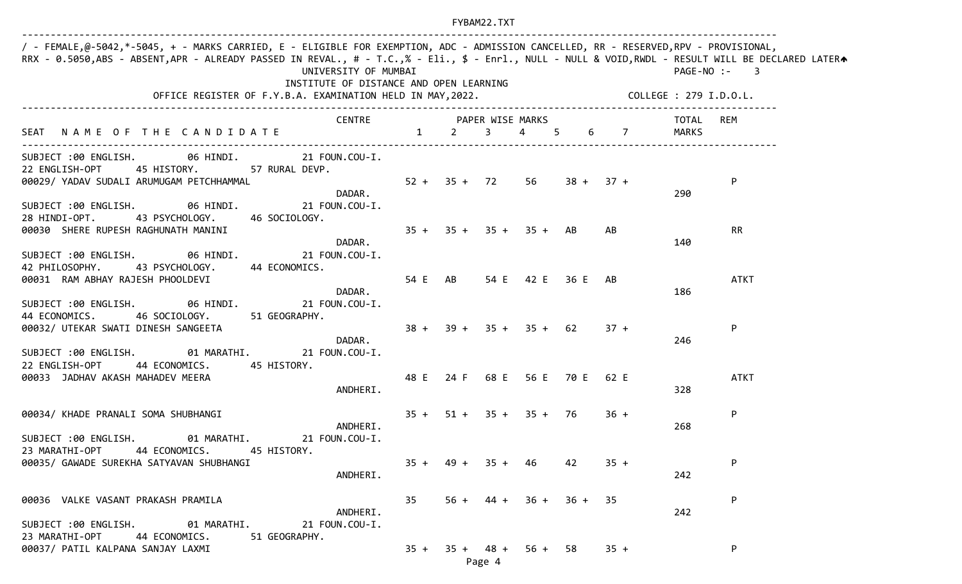| $35 + 35 + 35 + 35 + AB$ | 00029/ YADAV SUDALI ARUMUGAM PETCHHAMMAL 6 6 1 1 2 35 + 72 56 38 + 37 + |    |                                                 | TOTAL<br>REM<br>MARKS<br>P<br>290                                                                                                                               |                             |
|--------------------------|-------------------------------------------------------------------------|----|-------------------------------------------------|-----------------------------------------------------------------------------------------------------------------------------------------------------------------|-----------------------------|
|                          |                                                                         |    |                                                 |                                                                                                                                                                 |                             |
|                          |                                                                         |    |                                                 |                                                                                                                                                                 |                             |
|                          |                                                                         |    |                                                 |                                                                                                                                                                 |                             |
|                          |                                                                         |    | AB                                              | <b>RR</b><br>140                                                                                                                                                |                             |
|                          |                                                                         |    |                                                 | <b>ATKT</b><br>186                                                                                                                                              |                             |
|                          |                                                                         |    | $37 +$                                          | ${\sf P}$<br>246                                                                                                                                                |                             |
|                          |                                                                         |    |                                                 | <b>ATKT</b>                                                                                                                                                     |                             |
|                          |                                                                         |    | $36 +$                                          | ${\sf P}$                                                                                                                                                       |                             |
|                          |                                                                         | 42 | $35 +$                                          | P                                                                                                                                                               |                             |
|                          |                                                                         |    |                                                 | 242                                                                                                                                                             |                             |
|                          |                                                                         |    | $35 + 49 + 35 + 46$<br>$35 + 35 + 48 + 56 + 58$ | 00032/ UTEKAR SWATI DINESH SANGEETA $38 + 39 + 35 + 35 + 62$<br>48 E 24 F 68 E 56 E 70 E 62 E<br>$35 + 51 + 35 + 35 + 76$<br>$56 + 44 + 36 + 36 + 35$<br>$35 +$ | 328<br>268<br>P<br>242<br>P |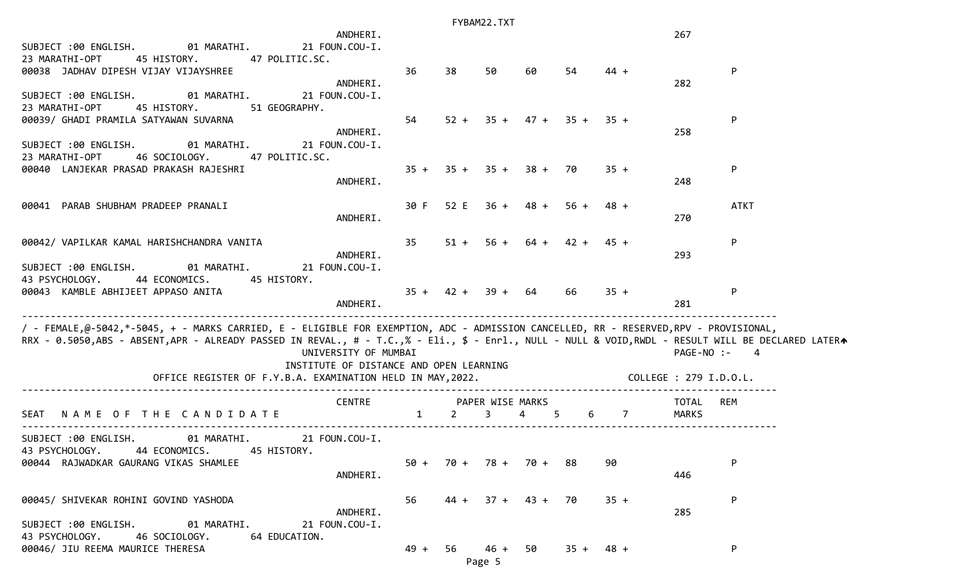|                                                                                                                                                   |                                         |              |                       | FYBAM22.TXT      |                            |        |                |                        |                |
|---------------------------------------------------------------------------------------------------------------------------------------------------|-----------------------------------------|--------------|-----------------------|------------------|----------------------------|--------|----------------|------------------------|----------------|
| SUBJECT :00 ENGLISH.<br>01 MARATHI.                                                                                                               | ANDHERI.<br>21 FOUN.COU-I.              |              |                       |                  |                            |        |                | 267                    |                |
| 23 MARATHI-OPT<br>45 HISTORY.<br>47 POLITIC.SC.                                                                                                   |                                         |              |                       |                  |                            |        |                |                        |                |
| 00038 JADHAV DIPESH VIJAY VIJAYSHREE                                                                                                              | ANDHERI.                                | 36           | 38                    | 50               | 60                         | 54     | $44 +$         | 282                    | $\mathsf{P}$   |
| 01 MARATHI.<br>SUBJECT :00 ENGLISH.                                                                                                               | 21 FOUN.COU-I.                          |              |                       |                  |                            |        |                |                        |                |
| 23 MARATHI-OPT<br>45 HISTORY.<br>51 GEOGRAPHY.<br>00039/ GHADI PRAMILA SATYAWAN SUVARNA                                                           |                                         | 54           |                       |                  | $52 + 35 + 47 + 35 + 35 +$ |        |                |                        | P              |
|                                                                                                                                                   | ANDHERI.                                |              |                       |                  |                            |        |                | 258                    |                |
| SUBJECT :00 ENGLISH.<br>01 MARATHI.<br>23 MARATHI-OPT<br>46 SOCIOLOGY.<br>47 POLITIC.SC.                                                          | 21 FOUN.COU-I.                          |              |                       |                  |                            |        |                |                        |                |
| 00040 LANJEKAR PRASAD PRAKASH RAJESHRI                                                                                                            |                                         | $35 +$       |                       | $35 + 35 + 38 +$ |                            | 70     | $35 +$         |                        | P              |
|                                                                                                                                                   | ANDHERI.                                |              |                       |                  |                            |        |                | 248                    |                |
| 00041 PARAB SHUBHAM PRADEEP PRANALI                                                                                                               | ANDHERI.                                | 30 F         |                       |                  | $52 E$ $36 + 48 + 56 +$    |        | 48 +           | 270                    | <b>ATKT</b>    |
|                                                                                                                                                   |                                         |              |                       |                  |                            |        |                |                        |                |
| 00042/ VAPILKAR KAMAL HARISHCHANDRA VANITA                                                                                                        | ANDHERI.                                | 35           |                       |                  | $51 + 56 + 64 +$           | $42 +$ | $45 +$         | 293                    | P              |
| SUBJECT :00 ENGLISH.<br>01 MARATHI.                                                                                                               | 21 FOUN.COU-I.                          |              |                       |                  |                            |        |                |                        |                |
| 43 PSYCHOLOGY.<br>44 ECONOMICS. 45 HISTORY.<br>00043 KAMBLE ABHIJEET APPASO ANITA                                                                 |                                         |              | $35 + 42 + 39 + 64$   |                  |                            | 66     | $35 +$         |                        | $\mathsf{P}$   |
|                                                                                                                                                   | ANDHERI.                                |              |                       |                  |                            |        |                | 281                    |                |
| / - FEMALE,@-5042,*-5045, + - MARKS CARRIED, E - ELIGIBLE FOR EXEMPTION, ADC - ADMISSION CANCELLED, RR - RESERVED,RPV - PROVISIONAL,              |                                         |              |                       |                  |                            |        |                |                        |                |
| RRX - 0.5050,ABS - ABSENT,APR - ALREADY PASSED IN REVAL., # - T.C.,% - Eli., \$ - Enrl., NULL - NULL & VOID,RWDL - RESULT WILL BE DECLARED LATERA | UNIVERSITY OF MUMBAI                    |              |                       |                  |                            |        |                | PAGE-NO :-             | $\overline{4}$ |
|                                                                                                                                                   | INSTITUTE OF DISTANCE AND OPEN LEARNING |              |                       |                  |                            |        |                |                        |                |
| OFFICE REGISTER OF F.Y.B.A. EXAMINATION HELD IN MAY, 2022.                                                                                        |                                         |              |                       |                  |                            |        |                | COLLEGE : 279 I.D.O.L. |                |
|                                                                                                                                                   | <b>CENTRE</b>                           |              |                       | PAPER WISE MARKS |                            |        |                | TOTAL                  | REM            |
| NAME OF THE CANDIDATE<br>SEAT                                                                                                                     |                                         | $\mathbf{1}$ | 2                     | 3                | $\overline{4}$             | 5<br>6 | $\overline{7}$ | MARKS                  |                |
| SUBJECT :00 ENGLISH.<br>01 MARATHI.                                                                                                               | 21 FOUN.COU-I.                          |              |                       |                  |                            |        |                |                        |                |
| 43 PSYCHOLOGY.<br>44 ECONOMICS.<br>45 HISTORY.<br>00044 RAJWADKAR GAURANG VIKAS SHAMLEE                                                           |                                         |              | $50 + 70 + 78 + 70 +$ |                  |                            | -88    | 90             |                        | P              |
|                                                                                                                                                   | ANDHERI.                                |              |                       |                  |                            |        |                | 446                    |                |
| 00045/ SHIVEKAR ROHINI GOVIND YASHODA                                                                                                             |                                         | 56           |                       |                  | $44 + 37 + 43 + 70$        |        | $35 +$         |                        | P              |
| SUBJECT :00 ENGLISH.<br>01 MARATHI.                                                                                                               | ANDHERI.<br>21 FOUN.COU-I.              |              |                       |                  |                            |        |                | 285                    |                |
| 43 PSYCHOLOGY.<br>46 SOCIOLOGY.<br>64 EDUCATION.                                                                                                  |                                         |              |                       |                  |                            |        |                |                        |                |
| 00046/ JIU REEMA MAURICE THERESA                                                                                                                  |                                         | $49 + 56$    |                       | 46 + 50          |                            |        | $35 + 48 +$    |                        | P              |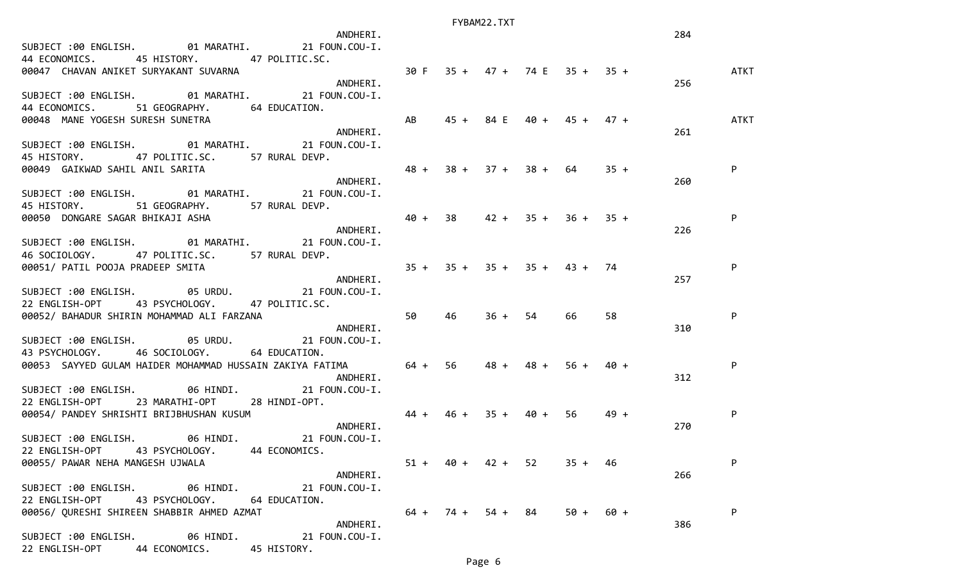| ANDHERI.                                                                                                                                                                    |    |    |                     |           |                            |        | 284 |      |
|-----------------------------------------------------------------------------------------------------------------------------------------------------------------------------|----|----|---------------------|-----------|----------------------------|--------|-----|------|
| SUBJECT :00 ENGLISH. 01 MARATHI. 21 FOUN.COU-I.                                                                                                                             |    |    |                     |           |                            |        |     |      |
| 44 ECONOMICS. 45 HISTORY. 47 POLITIC.SC.                                                                                                                                    |    |    |                     |           |                            |        |     |      |
| 30 F 35 + 47 + 74 E 35 + 35 +<br>00047 CHAVAN ANIKET SURYAKANT SUVARNA                                                                                                      |    |    |                     |           |                            |        |     | ATKT |
| ANDHERI.                                                                                                                                                                    |    |    |                     |           |                            |        | 256 |      |
| SUBJECT :00 ENGLISH. 01 MARATHI. 21 FOUN.COU-I.                                                                                                                             |    |    |                     |           |                            |        |     |      |
| 44 ECONOMICS. 51 GEOGRAPHY. 64 EDUCATION.                                                                                                                                   |    |    |                     |           |                            |        |     |      |
| <b>Example 18</b><br>44 ECUNUMENTICS.<br>00048 MANE YOGESH SURESH SUNETRA                                                                                                   |    |    |                     |           | $45 + 84 E$ 40 + 45 + 47 + |        |     | ATKT |
|                                                                                                                                                                             |    |    |                     |           |                            |        | 261 |      |
| SUBJECT :00 ENGLISH. 01 MARATHI. 21 FOUN.COU-I.                                                                                                                             |    |    |                     |           |                            |        |     |      |
| 45 HISTORY. 47 POLITIC.SC. 57 RURAL DEVP.                                                                                                                                   |    |    |                     |           |                            |        |     |      |
|                                                                                                                                                                             |    |    |                     |           |                            |        |     |      |
|                                                                                                                                                                             |    |    |                     |           |                            |        | 260 |      |
| SUBJECT :00 ENGLISH. 01 MARATHI. 21 FOUN.COU-I.                                                                                                                             |    |    |                     |           |                            |        |     |      |
|                                                                                                                                                                             |    |    |                     |           |                            |        |     |      |
| 45 HISTORY. 51 GEOGRAPHY. 57 RURAL DEVP.                                                                                                                                    |    |    |                     |           |                            |        |     |      |
| $40 + 38$ $42 + 35 + 36 + 35 +$<br>45 HISTORY. مناسبات المسابق المستحدة المستحدة والمستحدث المستحدث المستحدث المستحدث المستحدث المستحدث<br>20050 DONGARE SAGAR BHIKAJI ASHA |    |    |                     |           |                            |        |     | P    |
|                                                                                                                                                                             |    |    |                     |           |                            |        | 226 |      |
| SUBJECT :00 ENGLISH. 01 MARATHI. 21 FOUN.COU-I.                                                                                                                             |    |    |                     |           |                            |        |     |      |
| 46 SOCIOLOGY. 47 POLITIC.SC. 57 RURAL DEVP.<br>46 SOCIOLOGI.<br>00051/ PATIL POOJA PRADEEP SMITA<br>ANDHERI.                                                                |    |    |                     |           |                            |        |     |      |
| $35 + 35 + 35 + 35 + 43 + 74$                                                                                                                                               |    |    |                     |           |                            |        |     | P    |
|                                                                                                                                                                             |    |    |                     |           |                            |        | 257 |      |
| SUBJECT :00 ENGLISH. 05 URDU. 21 FOUN.COU-I.                                                                                                                                |    |    |                     |           |                            |        |     |      |
| 22 ENGLISH-OPT 43 PSYCHOLOGY. 47 POLITIC.SC.                                                                                                                                |    |    |                     |           |                            |        |     |      |
| 00052/ BAHADUR SHIRIN MOHAMMAD ALI FARZANA                                                                                                                                  | 50 | 46 |                     | $36 + 54$ | 66                         | 58     |     | P    |
| ANDHERI.                                                                                                                                                                    |    |    |                     |           |                            |        | 310 |      |
| SUBJECT :00 ENGLISH. 05 URDU. 21 FOUN.COU-I.                                                                                                                                |    |    |                     |           |                            |        |     |      |
| 43 PSYCHOLOGY. 46 SOCIOLOGY. 64 EDUCATION.                                                                                                                                  |    |    |                     |           |                            |        |     |      |
| 00053 SAYYED GULAM HAIDER MOHAMMAD HUSSAIN ZAKIYA FATIMA 64 + 56 48 +                                                                                                       |    |    |                     |           | $48 + 56 + 40 +$           |        |     | P    |
| ANDHERI.                                                                                                                                                                    |    |    |                     |           |                            |        | 312 |      |
| SUBJECT :00 ENGLISH. 06 HINDI. 21 FOUN.COU-I.                                                                                                                               |    |    |                     |           |                            |        |     |      |
|                                                                                                                                                                             |    |    |                     |           |                            |        |     |      |
|                                                                                                                                                                             |    |    |                     |           |                            | 49 +   |     | P    |
| 22 ENGLISH-OPT 23 MARATHI-OPT 28 HINDI-OPT.<br>22 ENGLISH-OPT 23 MARATHI-OPT 28 HINDI-OPT. 44 + 46 + 35 + 40 + 56                                                           |    |    |                     |           |                            |        | 270 |      |
| SUBJECT :00 ENGLISH. 06 HINDI. 21 FOUN.COU-I.                                                                                                                               |    |    |                     |           |                            |        |     |      |
| 22 ENGLISH-OPT 43 PSYCHOLOGY. 44 ECONOMICS.                                                                                                                                 |    |    |                     |           |                            |        |     |      |
| 00055/ PAWAR NEHA MANGESH UJWALA                                                                                                                                            |    |    | $51 + 40 + 42 + 52$ |           | $35 + 46$                  |        |     | P    |
| ANDHERI.                                                                                                                                                                    |    |    |                     |           |                            |        | 266 |      |
| SUBJECT :00 ENGLISH. 06 HINDI. 21 FOUN.COU-I.                                                                                                                               |    |    |                     |           |                            |        |     |      |
| 22 ENGLISH-OPT<br>43 PSYCHOLOGY. 64 EDUCATION.                                                                                                                              |    |    |                     |           |                            |        |     |      |
| 00056/ QURESHI SHIREEN SHABBIR AHMED AZMAT                                                                                                                                  |    |    |                     |           | $64 + 74 + 54 + 84$ 50 +   | $60 +$ |     | P    |
|                                                                                                                                                                             |    |    |                     |           |                            |        |     |      |
| ANDHERI.                                                                                                                                                                    |    |    |                     |           |                            |        | 386 |      |
| SUBJECT :00 ENGLISH.<br>06 HINDI. 21 FOUN.COU-I.                                                                                                                            |    |    |                     |           |                            |        |     |      |
| 44 ECONOMICS.<br>22 ENGLISH-OPT<br>45 HISTORY.                                                                                                                              |    |    |                     |           |                            |        |     |      |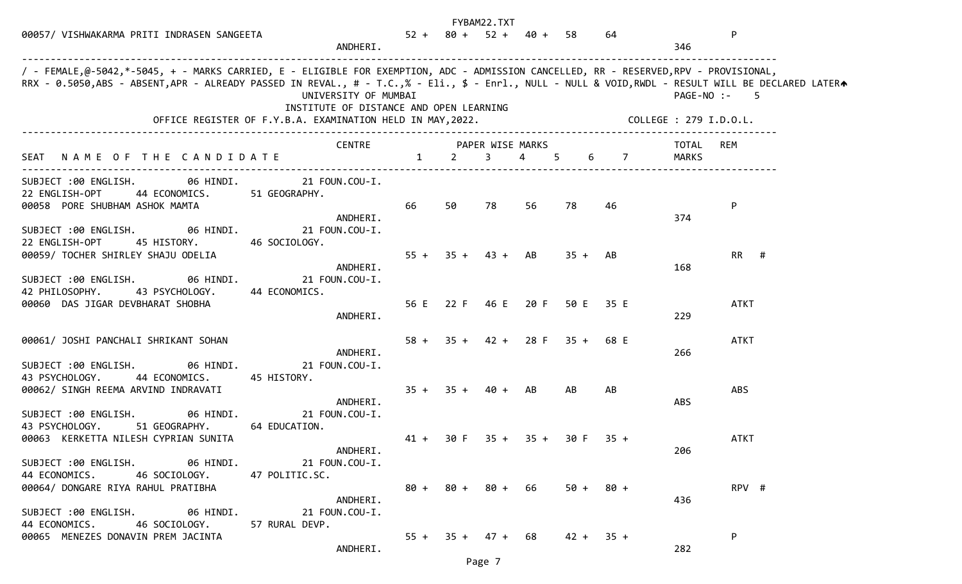|                                                                                                                                                                                                                                                                                           |                                                                 |        |    | FYBAM22.TXT         |                               |        |             |                        |                  |  |
|-------------------------------------------------------------------------------------------------------------------------------------------------------------------------------------------------------------------------------------------------------------------------------------------|-----------------------------------------------------------------|--------|----|---------------------|-------------------------------|--------|-------------|------------------------|------------------|--|
| 00057/ VISHWAKARMA PRITI INDRASEN SANGEETA                                                                                                                                                                                                                                                | ANDHERI.                                                        |        |    |                     | $52 + 80 + 52 + 40 + 58$      |        | 64          | 346                    | P                |  |
| / - FEMALE,@-5042,*-5045, + - MARKS CARRIED, E - ELIGIBLE FOR EXEMPTION, ADC - ADMISSION CANCELLED, RR - RESERVED,RPV - PROVISIONAL,<br>RRX - 0.5050,ABS - ABSENT,APR - ALREADY PASSED IN REVAL., # - T.C.,% - Eli., \$ - Enrl., NULL - NULL & VOID,RWDL - RESULT WILL BE DECLARED LATERA | UNIVERSITY OF MUMBAI<br>INSTITUTE OF DISTANCE AND OPEN LEARNING |        |    |                     |                               |        |             | COLLEGE : 279 I.D.O.L. | PAGE-NO :-<br>-5 |  |
|                                                                                                                                                                                                                                                                                           | CENTRE PAPER WISE MARKS                                         |        |    |                     |                               |        |             | TOTAL                  | REM              |  |
| SEAT NAME OF THE CANDIDATE 1 2                                                                                                                                                                                                                                                            |                                                                 |        |    | $\overline{3}$      | 4 5                           |        | 6 7         | <b>MARKS</b>           |                  |  |
| SUBJECT :00 ENGLISH. 06 HINDI. 21 FOUN.COU-I.<br>44 ECONOMICS. 51 GEOGRAPHY.<br>22 ENGLISH-OPT<br>00058 PORE SHUBHAM ASHOK MAMTA                                                                                                                                                          | ANDHERI.                                                        | 66     | 50 | 78                  | 56                            | 78     | 46          | 374                    | P                |  |
| SUBJECT :00 ENGLISH. 06 HINDI.<br>22 ENGLISH-OPT<br>45 HISTORY.<br>00059/ TOCHER SHIRLEY SHAJU ODELIA                                                                                                                                                                                     | 21 FOUN.COU-I.<br>46 SOCIOLOGY.<br>ANDHERI.                     | $55 +$ |    | $35 + 43 + AB$      |                               | $35 +$ | AB          | 168                    | $RR$ #           |  |
| SUBJECT :00 ENGLISH. 06 HINDI.<br>42 PHILOSOPHY. 43 PSYCHOLOGY. 44 ECONOMICS.<br>00060 DAS JIGAR DEVBHARAT SHOBHA                                                                                                                                                                         | 21 FOUN.COU-I.<br>ANDHERI.                                      |        |    |                     | 56 E 22 F 46 E 20 F 50 E 35 E |        |             | 229                    | <b>ATKT</b>      |  |
| 00061/ JOSHI PANCHALI SHRIKANT SOHAN                                                                                                                                                                                                                                                      | ANDHERI.                                                        | $58 +$ |    |                     | $35 + 42 + 28$ F $35 + 68$ E  |        |             | 266                    | <b>ATKT</b>      |  |
| SUBJECT :00 ENGLISH. 06 HINDI.<br>43 PSYCHOLOGY.<br>44 ECONOMICS.<br>00062/ SINGH REEMA ARVIND INDRAVATI                                                                                                                                                                                  | 21 FOUN.COU-I.<br>45 HISTORY.<br>ANDHERI.                       |        |    | $35 + 35 + 40 + AB$ |                               | AB     | AB          | ABS                    | <b>ABS</b>       |  |
| 06 HINDI.<br>SUBJECT :00 ENGLISH.<br>43 PSYCHOLOGY.<br>51 GEOGRAPHY.<br>00063 KERKETTA NILESH CYPRIAN SUNITA                                                                                                                                                                              | 21 FOUN.COU-I.<br>64 EDUCATION.                                 | $41 +$ |    |                     | 30 F 35 + 35 + 30 F 35 +      |        |             |                        | <b>ATKT</b>      |  |
| SUBJECT :00 ENGLISH. 06 HINDI. 21 FOUN.COU-I.<br>44 ECONOMICS. 46 SOCIOLOGY. 47 POLITIC.SC.<br>00064/ DONGARE RIYA RAHUL PRATIBHA                                                                                                                                                         | ANDHERI.                                                        |        |    |                     | $80 + 80 + 80 + 66$ 50 + 80 + |        |             | 206                    | RPV #            |  |
| SUBJECT :00 ENGLISH. 06 HINDI. 21 FOUN.COU-I.<br>44 ECONOMICS.<br>46 SOCIOLOGY. 57 RURAL DEVP.                                                                                                                                                                                            | ANDHERI.                                                        |        |    |                     |                               |        |             | 436                    |                  |  |
| 00065 MENEZES DONAVIN PREM JACINTA                                                                                                                                                                                                                                                        | ANDHERI.                                                        |        |    | $55 + 35 + 47 + 68$ |                               |        | $42 + 35 +$ | 282                    | P                |  |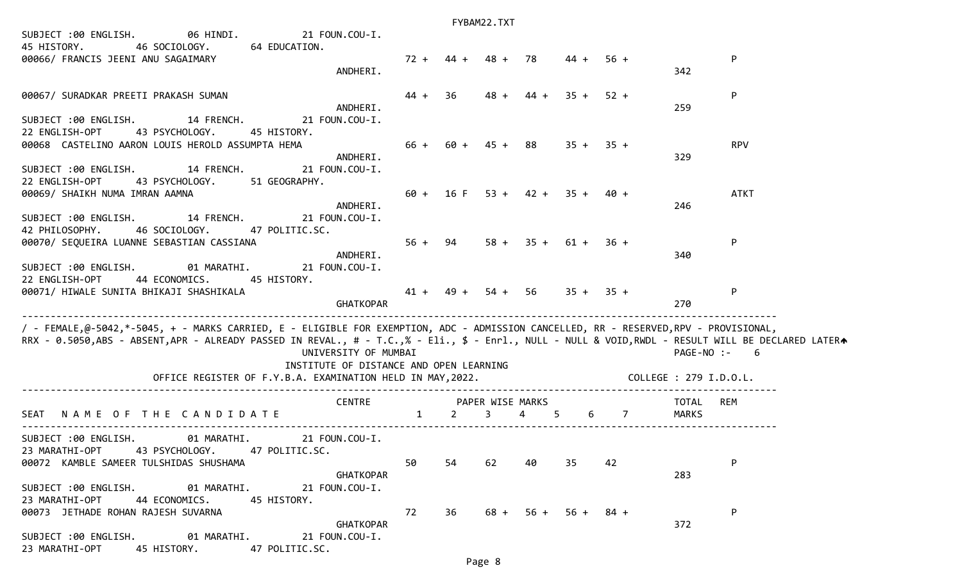| SUBJECT :00 ENGLISH. 06 HINDI. 21 FOUN.COU-I.<br>45 HISTORY. 46 SOCIOLOGY. 64 EDUCATION.<br>00066/ FRANCIS JEENI ANU SAGAIMARY                                                                                                                                                                                                       |                      |      | $72 + 44 + 48 + 78$               |    |    | $44 + 56 +$           |       |                    | ${\sf P}$   |
|--------------------------------------------------------------------------------------------------------------------------------------------------------------------------------------------------------------------------------------------------------------------------------------------------------------------------------------|----------------------|------|-----------------------------------|----|----|-----------------------|-------|--------------------|-------------|
|                                                                                                                                                                                                                                                                                                                                      | ANDHERI.             |      |                                   |    |    |                       |       | 342                |             |
| 00067/ SURADKAR PREETI PRAKASH SUMAN                                                                                                                                                                                                                                                                                                 | ANDHERI.             | 44 + | 36                                |    |    | $48 + 44 + 35 + 52 +$ |       | 259                | P           |
| SUBJECT :00 ENGLISH. 14 FRENCH. 21 FOUN.COU-I.<br>22 ENGLISH-OPT<br>43 PSYCHOLOGY.<br>45 HISTORY.                                                                                                                                                                                                                                    |                      |      |                                   |    |    |                       |       |                    |             |
| 00068 CASTELINO AARON LOUIS HEROLD ASSUMPTA HEMA<br>SUBJECT :00 ENGLISH. 14 FRENCH. 21 FOUN.COU-I.                                                                                                                                                                                                                                   | ANDHERI.             |      | $66 + 60 + 45 + 88$ $35 + 35 +$   |    |    |                       |       | 329                | <b>RPV</b>  |
| 22 ENGLISH-OPT<br>43 PSYCHOLOGY. 51 GEOGRAPHY.<br>00069/ SHAIKH NUMA IMRAN AAMNA                                                                                                                                                                                                                                                     |                      |      | $60 + 16$ F $53 + 42 + 35 + 40 +$ |    |    |                       |       |                    | <b>ATKT</b> |
| SUBJECT :00 ENGLISH. 14 FRENCH. 21 FOUN.COU-I.<br>46 SOCIOLOGY. 47 POLITIC.SC.<br>42 PHILOSOPHY.                                                                                                                                                                                                                                     | ANDHERI.             |      |                                   |    |    |                       |       | 246                |             |
| $56 + 94$<br>00070/ SEQUEIRA LUANNE SEBASTIAN CASSIANA<br>SUBJECT :00 ENGLISH. 01 MARATHI. 21 FOUN.COU-I.                                                                                                                                                                                                                            | ANDHERI.             |      |                                   |    |    | $58 + 35 + 61 + 36 +$ |       | 340                | P           |
| 22 ENGLISH-OPT<br>44 ECONOMICS. 45 HISTORY.<br>00071/ HIWALE SUNITA BHIKAJI SHASHIKALA                                                                                                                                                                                                                                               | GHATKOPAR            |      | $41 + 49 + 54 + 56$ $35 + 35 +$   |    |    |                       |       | 270                | P           |
| / - FEMALE,@-5042,*-5045, + - MARKS CARRIED, E - ELIGIBLE FOR EXEMPTION, ADC - ADMISSION CANCELLED, RR - RESERVED,RPV - PROVISIONAL,<br>RRX - 0.5050,ABS - ABSENT,APR - ALREADY PASSED IN REVAL., # - T.C.,% - Eli., \$ - Enrl., NULL - NULL & VOID,RWDL - RESULT WILL BE DECLARED LATERA<br>INSTITUTE OF DISTANCE AND OPEN LEARNING | UNIVERSITY OF MUMBAI |      |                                   |    |    |                       |       | $PAGE-NO: - 6$     |             |
|                                                                                                                                                                                                                                                                                                                                      |                      |      |                                   |    |    |                       |       |                    |             |
| SEAT NAME OF THE CANDIDATE CENTRE 1 2 3 4 5                                                                                                                                                                                                                                                                                          |                      |      |                                   |    |    |                       | 6 7 7 | TOTAL REM<br>MARKS |             |
|                                                                                                                                                                                                                                                                                                                                      |                      |      |                                   |    |    |                       |       |                    |             |
| SUBJECT :00 ENGLISH. 01 MARATHI. 21 FOUN.COU-I.<br>23 MARATHI-OPT 43 PSYCHOLOGY. 47 POLITIC.SC.<br>00072 KAMBLE SAMEER TULSHIDAS SHUSHAMA                                                                                                                                                                                            |                      | 50   | 54                                | 62 | 40 | 35                    | 42    |                    | P           |
| SUBJECT :00 ENGLISH. 01 MARATHI. 21 FOUN.COU-I.<br>23 MARATHI-OPT 44 ECONOMICS. 45 HISTORY.                                                                                                                                                                                                                                          | GHATKOPAR            |      |                                   |    |    |                       |       | 283                |             |
| 00073 JETHADE ROHAN RAJESH SUVARNA                                                                                                                                                                                                                                                                                                   | GHATKOPAR            | 72   | 36                                |    |    | $68 + 56 + 56 + 84 +$ |       | 372                | P           |
| SUBJECT :00 ENGLISH. 01 MARATHI. 21 FOUN.COU-I.<br>23 MARATHI-OPT 45 HISTORY. 47 POLITIC.SC.                                                                                                                                                                                                                                         |                      |      |                                   |    |    |                       |       |                    |             |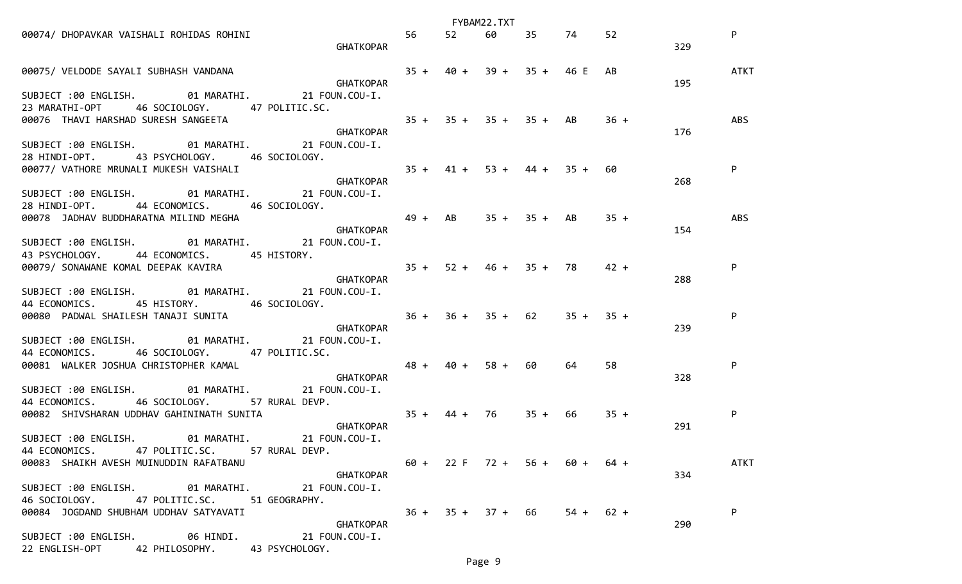|                                                                                                                   |       | FYBAM22.TXT                     |             |    |     |             |
|-------------------------------------------------------------------------------------------------------------------|-------|---------------------------------|-------------|----|-----|-------------|
| 00074/ DHOPAVKAR VAISHALI ROHIDAS ROHINI<br>GHATKOPAR                                                             | 56 52 |                                 | 60 35 74 52 |    | 329 | P           |
| 00075/ VELDODE SAYALI SUBHASH VANDANA<br>GHATKOPAR<br>GHATKOPAR                                                   |       | $35 + 40 + 39 + 35 + 46$ E AB   |             |    | 195 | <b>ATKT</b> |
| SUBJECT :00 ENGLISH. 01 MARATHI. 21 FOUN.COU-I.<br>23 MARATHI-OPT 46 SOCIOLOGY. 47 POLITIC.SC.                    |       |                                 |             |    |     |             |
|                                                                                                                   |       |                                 |             |    | 176 | ABS         |
| SUBJECT :00 ENGLISH. 01 MARATHI. 21 FOUN.COU-I.<br>28 HINDI-OPT. 43 PSYCHOLOGY. 46 SOCIOLOGY.                     |       |                                 |             |    |     |             |
|                                                                                                                   |       |                                 |             |    | 268 | P           |
| SUBJECT :00 ENGLISH. 01 MARATHI. 21 FOUN.COU-I.<br>28 HINDI-OPT. 44 ECONOMICS. 46 SOCIOLOGY.                      |       |                                 |             |    |     |             |
| $49 + AB$ $35 + 35 + AB$ $35 +$<br>00078 JADHAV BUDDHARATNA MILIND MEGHA<br><b>GHATKOPAR</b>                      |       |                                 |             |    | 154 | ABS         |
| SUBJECT :00 ENGLISH. 01 MARATHI. 21 FOUN.COU-I.<br>43 PSYCHOLOGY. 44 ECONOMICS. 45 HISTORY.                       |       |                                 |             |    |     |             |
|                                                                                                                   |       |                                 |             |    | 288 | P           |
| SUBJECT :00 ENGLISH. 01 MARATHI. 21 FOUN.COU-I.<br>44 ECONOMICS. 45 HISTORY. 46 SOCIOLOGY.                        |       |                                 |             |    |     |             |
| GHATKOPAR                                                                                                         |       |                                 |             |    | 239 | P           |
| SUBJECT :00 ENGLISH. 01 MARATHI. 21 FOUN.COU-I.                                                                   |       |                                 |             |    |     |             |
| $48 + 40 + 58 + 60$<br>44 ECONOMICS. 46 SULIDEDUI.<br>19981 WALKER JOSHUA CHRISTOPHER KAMAL GHATKOPAR             |       |                                 | 64 —        | 58 | 328 | P           |
| SUBJECT :00 ENGLISH. 01 MARATHI. 21 FOUN.COU-I.<br>44 ECONOMICS. 46 SOCIOLOGY. 57 RURAL DEVP.                     |       |                                 |             |    |     |             |
| GHATKOPAR                                                                                                         |       |                                 |             |    | 291 | P           |
| SUBJECT :00 ENGLISH. 01 MARATHI. 21 FOUN.COU-I.<br>47 POLITIC.SC. 57 RURAL DEVP.<br>44 ECONOMICS.                 |       |                                 |             |    |     |             |
| 00083 SHAIKH AVESH MUINUDDIN RAFATBANU                                                                            |       | $60 + 22 F$ 72 + 56 + 60 + 64 + |             |    |     | ATKT        |
| <b>GHATKOPAR</b><br>SUBJECT :00 ENGLISH. 01 MARATHI. 21 FOUN.COU-I.                                               |       |                                 |             |    | 334 |             |
| 46 SOCIOLOGY.<br>47 POLITIC.SC.<br>51 GEOGRAPHY.<br>00084 JOGDAND SHUBHAM UDDHAV SATYAVATI                        |       | $36 + 35 + 37 + 66$ 54 + 62 +   |             |    |     | P           |
| <b>GHATKOPAR</b><br>SUBJECT :00 ENGLISH. 06 HINDI. 21 FOUN.COU-I.<br>22 ENGLISH-OPT 42 PHILOSOPHY. 43 PSYCHOLOGY. |       |                                 |             |    | 290 |             |
|                                                                                                                   |       |                                 |             |    |     |             |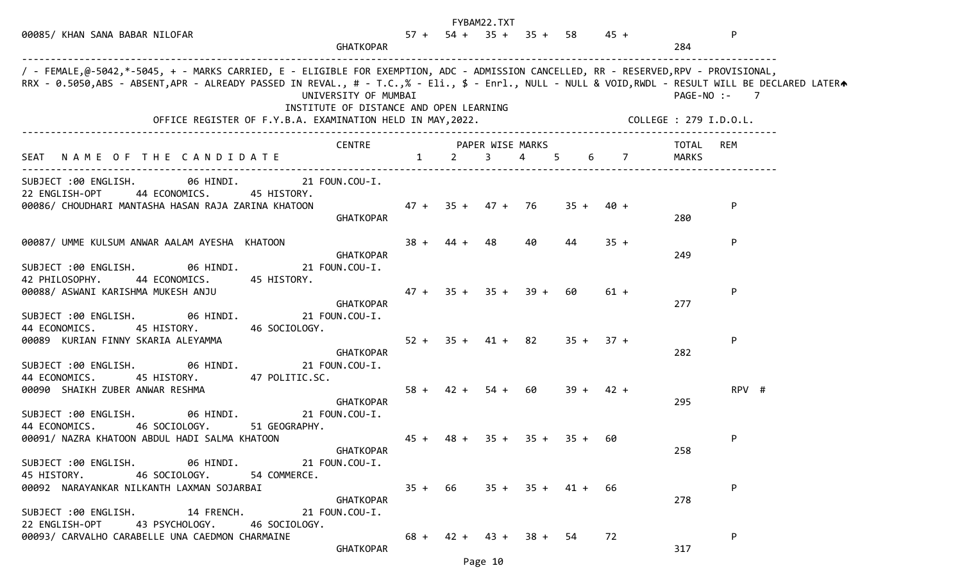|                                                                                                                                                                                                                                                                                                                                                                                                                                                  |                  |                          | FYBAM22.TXT      |    |                               |             |                              |
|--------------------------------------------------------------------------------------------------------------------------------------------------------------------------------------------------------------------------------------------------------------------------------------------------------------------------------------------------------------------------------------------------------------------------------------------------|------------------|--------------------------|------------------|----|-------------------------------|-------------|------------------------------|
| 00085/ KHAN SANA BABAR NILOFAR<br><b>GHATKOPAR</b>                                                                                                                                                                                                                                                                                                                                                                                               |                  |                          |                  |    | $57 + 54 + 35 + 35 + 58$ 45 + |             | P<br>284                     |
| / - FEMALE,@-5042,*-5045, + - MARKS CARRIED, E - ELIGIBLE FOR EXEMPTION, ADC - ADMISSION CANCELLED, RR - RESERVED,RPV - PROVISIONAL,<br>RRX - 0.5050,ABS - ABSENT,APR - ALREADY PASSED IN REVAL., # - T.C.,% - Eli., \$ - Enrl., NULL - NULL & VOID,RWDL - RESULT WILL BE DECLARED LATER<br>UNIVERSITY OF MUMBAI<br>INSTITUTE OF DISTANCE AND OPEN LEARNING<br>OFFICE REGISTER OF F.Y.B.A. EXAMINATION HELD IN MAY, 2022. COLLEGE : 279 I.D.O.L. |                  |                          |                  |    |                               |             | PAGE-NO :-<br>$\overline{7}$ |
|                                                                                                                                                                                                                                                                                                                                                                                                                                                  |                  |                          |                  |    |                               |             |                              |
| CENTRE<br>SEAT NAME OF THE CANDIDATE 1 2 3 4 5 6 7                                                                                                                                                                                                                                                                                                                                                                                               | PAPER WISE MARKS |                          |                  |    |                               |             | TOTAL<br>REM<br>MARKS        |
| SUBJECT :00 ENGLISH. 06 HINDI. 21 FOUN.COU-I.<br>22 ENGLISH-OPT<br>44 ECONOMICS.<br>45 HISTORY.<br>00086/ CHOUDHARI MANTASHA HASAN RAJA ZARINA KHATOON<br><b>GHATKOPAR</b>                                                                                                                                                                                                                                                                       |                  | 47 + 35 + 47 + 76        |                  |    |                               | $35 + 40 +$ | P<br>280                     |
| 00087/ UMME KULSUM ANWAR AALAM AYESHA KHATOON<br><b>GHATKOPAR</b><br>SUBJECT :00 ENGLISH. 06 HINDI.<br>21 FOUN.COU-I.                                                                                                                                                                                                                                                                                                                            | $38 +$           | 44 + 48                  |                  | 40 | 44                            | $35 +$      | P<br>249                     |
| 42 PHILOSOPHY.<br>44 ECONOMICS.<br>45 HISTORY.<br>00088/ ASWANI KARISHMA MUKESH ANJU<br>GHATKOPAR<br>SUBJECT :00 ENGLISH. 06 HINDI.<br>21 FOUN.COU-I.                                                                                                                                                                                                                                                                                            | $47 +$           |                          | $35 + 35 + 39 +$ |    | 60                            | $61 +$      | P<br>277                     |
| 45 HISTORY.<br>44 ECONOMICS.<br>46 SOCIOLOGY.<br>00089 KURIAN FINNY SKARIA ALEYAMMA<br><b>GHATKOPAR</b>                                                                                                                                                                                                                                                                                                                                          | $52 +$           |                          | $35 + 41 + 82$   |    | $35 +$                        | $37 +$      | P<br>282                     |
| SUBJECT :00 ENGLISH. 06 HINDI.<br>21 FOUN.COU-I.<br>44 ECONOMICS.<br>47 POLITIC.SC.<br>45 HISTORY.<br>00090 SHAIKH ZUBER ANWAR RESHMA                                                                                                                                                                                                                                                                                                            | $58 +$           |                          | $42 + 54 + 60$   |    |                               | $39 + 42 +$ | RPV #                        |
| <b>GHATKOPAR</b><br>06 HINDI.<br>SUBJECT :00 ENGLISH.<br>21 FOUN.COU-I.<br>44 ECONOMICS.<br>46 SOCIOLOGY. 51 GEOGRAPHY.<br>00091/ NAZRA KHATOON ABDUL HADI SALMA KHATOON                                                                                                                                                                                                                                                                         | $45 +$           | 48 +                     |                  |    | $35 + 35 + 35 + 60$           |             | 295<br>P                     |
| <b>GHATKOPAR</b><br>SUBJECT :00 ENGLISH. 06 HINDI.<br>21 FOUN.COU-I.<br>45 HISTORY.<br>46 SOCIOLOGY.<br>54 COMMERCE.                                                                                                                                                                                                                                                                                                                             |                  |                          |                  |    |                               |             | 258                          |
| 00092 NARAYANKAR NILKANTH LAXMAN SOJARBAI<br>GHATKOPAR<br>SUBJECT :00 ENGLISH. 14 FRENCH. 21 FOUN.COU-I.                                                                                                                                                                                                                                                                                                                                         |                  |                          |                  |    | $35 + 66$ $35 + 35 + 41 +$    | -66         | P<br>278                     |
| 22 ENGLISH-OPT 43 PSYCHOLOGY. 46 SOCIOLOGY.<br>00093/ CARVALHO CARABELLE UNA CAEDMON CHARMAINE<br><b>GHATKOPAR</b>                                                                                                                                                                                                                                                                                                                               |                  | $68 + 42 + 43 + 38 + 54$ |                  |    |                               | 72          | P<br>317                     |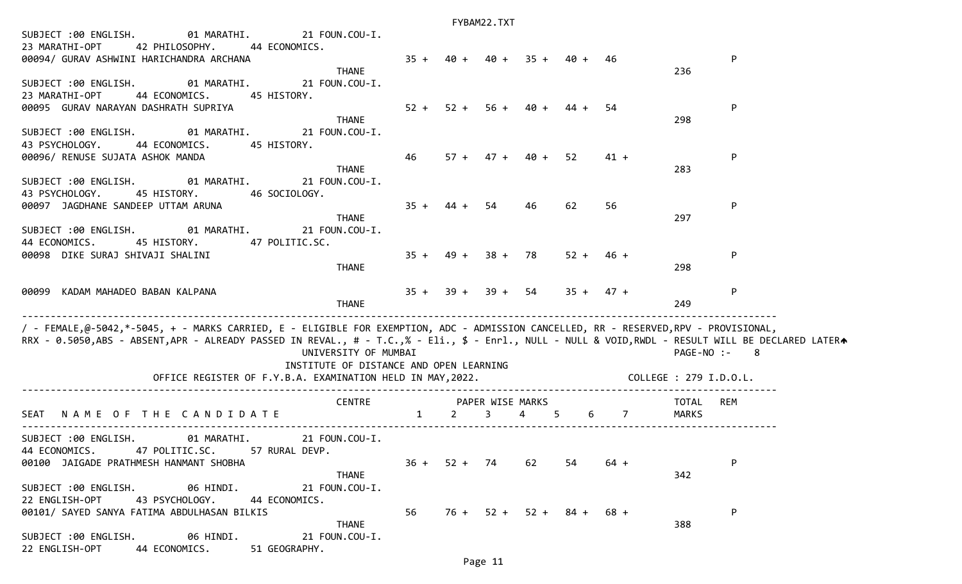| SUBJECT :00 ENGLISH.<br>01 MARATHI.                                                                                                                                                                                                                                                       | 21 FOUN.COU-I.                                                  |        |                                 |             |                            |             |                        |                       |     |
|-------------------------------------------------------------------------------------------------------------------------------------------------------------------------------------------------------------------------------------------------------------------------------------------|-----------------------------------------------------------------|--------|---------------------------------|-------------|----------------------------|-------------|------------------------|-----------------------|-----|
| 23 MARATHI-OPT<br>42 PHILOSOPHY.                                                                                                                                                                                                                                                          | 44 ECONOMICS.                                                   |        |                                 |             |                            |             |                        |                       |     |
| 00094/ GURAV ASHWINI HARICHANDRA ARCHANA                                                                                                                                                                                                                                                  |                                                                 | $35 +$ |                                 |             | $40 + 40 + 35 + 40 + 46$   |             |                        |                       | P   |
| SUBJECT :00 ENGLISH. 01 MARATHI.<br>23 MARATHI-OPT<br>44 ECONOMICS. 45 HISTORY.                                                                                                                                                                                                           | <b>THANE</b><br>21 FOUN.COU-I.                                  |        |                                 |             |                            |             |                        | 236                   |     |
| 00095 GURAV NARAYAN DASHRATH SUPRIYA                                                                                                                                                                                                                                                      | <b>THANE</b>                                                    | $52 +$ |                                 |             | $52 + 56 + 40 +$           | 44 +        | 54                     | 298                   | P   |
| SUBJECT :00 ENGLISH. 01 MARATHI. 21 FOUN.COU-I.<br>44 ECONOMICS. 45 HISTORY.<br>43 PSYCHOLOGY.                                                                                                                                                                                            |                                                                 |        |                                 |             |                            |             |                        |                       |     |
| 00096/ RENUSE SUJATA ASHOK MANDA                                                                                                                                                                                                                                                          | <b>THANE</b>                                                    | 46     |                                 |             | $57 + 47 + 40 +$           | -52         | 41 +                   | 283                   | P   |
| SUBJECT:00 ENGLISH. 01 MARATHI.<br>43 PSYCHOLOGY.<br>45 HISTORY. 46 SOCIOLOGY.                                                                                                                                                                                                            | 21 FOUN.COU-I.                                                  |        |                                 |             |                            |             |                        |                       |     |
| 00097 JAGDHANE SANDEEP UTTAM ARUNA<br>SUBJECT:00 ENGLISH. 01 MARATHI.                                                                                                                                                                                                                     | <b>THANE</b><br>21 FOUN.COU-I.                                  | $35 +$ | $44 + 54$                       |             | 46                         | 62          | 56                     | 297                   | P   |
| 44 ECONOMICS.<br>45 HISTORY. 47 POLITIC.SC.<br>00098 DIKE SURAJ SHIVAJI SHALINI                                                                                                                                                                                                           |                                                                 |        | $35 + 49 + 38 + 78$             |             |                            | $52 + 46 +$ |                        |                       | P   |
|                                                                                                                                                                                                                                                                                           | <b>THANE</b>                                                    |        |                                 |             |                            |             |                        | 298                   |     |
| 00099 KADAM MAHADEO BABAN KALPANA                                                                                                                                                                                                                                                         | <b>THANE</b>                                                    |        | $35 + 39 + 39 + 54$ $35 + 47 +$ |             |                            |             |                        | 249                   | P   |
| / - FEMALE,@-5042,*-5045, + - MARKS CARRIED, E - ELIGIBLE FOR EXEMPTION, ADC - ADMISSION CANCELLED, RR - RESERVED,RPV - PROVISIONAL,<br>RRX - 0.5050,ABS - ABSENT,APR - ALREADY PASSED IN REVAL., # - T.C.,% - Eli., \$ - Enrl., NULL - NULL & VOID,RWDL - RESULT WILL BE DECLARED LATERA | UNIVERSITY OF MUMBAI<br>INSTITUTE OF DISTANCE AND OPEN LEARNING |        |                                 |             |                            |             |                        | PAGE-NO :-            | - 8 |
|                                                                                                                                                                                                                                                                                           | OFFICE REGISTER OF F.Y.B.A. EXAMINATION HELD IN MAY, 2022.      |        |                                 |             |                            |             | COLLEGE : 279 I.D.O.L. |                       |     |
| NAME OF THE CANDIDATE<br>SEAT                                                                                                                                                                                                                                                             | CENTRE PAPER WISE MARKS<br>$1 \t 2$                             |        |                                 | $3^{\circ}$ | 4 5                        |             | $6\qquad 7$            | TOTAL<br><b>MARKS</b> | REM |
| SUBJECT :00 ENGLISH. 01 MARATHI. 21 FOUN.COU-I.<br>44 ECONOMICS. 47 POLITIC.SC. 57 RURAL DEVP.                                                                                                                                                                                            |                                                                 |        |                                 |             |                            |             |                        |                       |     |
| 00100 JAIGADE PRATHMESH HANMANT SHOBHA                                                                                                                                                                                                                                                    | <b>THANE</b>                                                    | $36 +$ | $52 + 74$                       |             | 62                         | 54          | 64 +                   | 342                   | P   |
| SUBJECT :00 ENGLISH.<br>06 HINDI.<br>43 PSYCHOLOGY.<br>22 ENGLISH-OPT                                                                                                                                                                                                                     | 21 FOUN.COU-I.<br>44 ECONOMICS.                                 |        |                                 |             |                            |             |                        |                       |     |
| 00101/ SAYED SANYA FATIMA ABDULHASAN BILKIS                                                                                                                                                                                                                                               |                                                                 | 56     |                                 |             | $76 + 52 + 52 + 84 + 68 +$ |             |                        |                       | P   |
| SUBJECT :00 ENGLISH.<br>06 HINDI.                                                                                                                                                                                                                                                         | <b>THANE</b><br>21 FOUN.COU-I.                                  |        |                                 |             |                            |             |                        | 388                   |     |

22 ENGLISH-OPT 44 ECONOMICS. 51 GEOGRAPHY.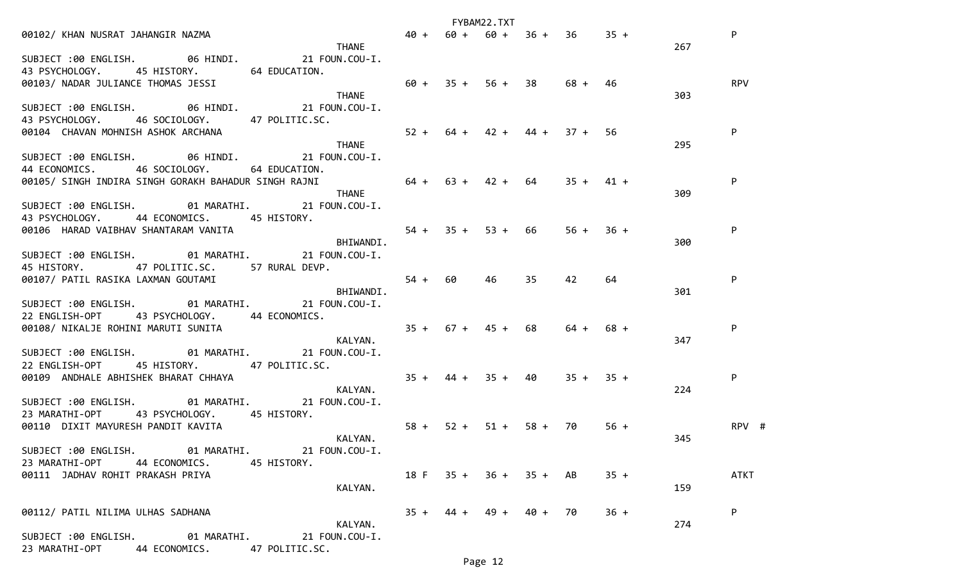|                                                                                  |                       |                                 | FYBAM22.TXT |     |             |        |     |             |
|----------------------------------------------------------------------------------|-----------------------|---------------------------------|-------------|-----|-------------|--------|-----|-------------|
| <b>THANE</b><br>00102/ KHAN NUSRAT JAHANGIR NAZMA                                |                       | $40 + 60 + 60 + 36 + 36$ 35 +   |             |     |             |        |     | P           |
|                                                                                  |                       |                                 |             |     |             |        | 267 |             |
| SUBJECT :00 ENGLISH. 06 HINDI. 21 FOUN.COU-I.                                    |                       |                                 |             |     |             |        |     |             |
| 45 HISTORY. 64 EDUCATION.<br>43 PSYCHOLOGY.                                      |                       |                                 |             |     |             |        |     |             |
| 00103/ NADAR JULIANCE THOMAS JESSI                                               | $60 + 35 + 56 + 38$   |                                 |             |     | 68 + 46     |        |     | <b>RPV</b>  |
| <b>THANE</b>                                                                     |                       |                                 |             |     |             |        | 303 |             |
| SUBJECT :00 ENGLISH. 06 HINDI. 21 FOUN.COU-I.                                    |                       |                                 |             |     |             |        |     |             |
| 43 PSYCHOLOGY. 46 SOCIOLOGY. 47 POLITIC.SC.                                      |                       |                                 |             |     |             |        |     |             |
| 00104 CHAVAN MOHNISH ASHOK ARCHANA                                               |                       | $52 + 64 + 42 + 44 + 37 +$      |             |     |             | 56.    |     | P           |
| <b>THANE</b>                                                                     |                       |                                 |             |     |             |        | 295 |             |
| SUBJECT :00 ENGLISH. 06 HINDI. 21 FOUN.COU-I.                                    |                       |                                 |             |     |             |        |     |             |
| 44 ECONOMICS. 46 SOCIOLOGY. 64 EDUCATION.                                        |                       |                                 |             |     |             |        |     |             |
| 00105/ SINGH INDIRA SINGH GORAKH BAHADUR SINGH RAJNI 64 + 63 + 42 + 64 35 + 41 + |                       |                                 |             |     |             |        |     | P           |
| <b>THANE</b>                                                                     |                       |                                 |             |     |             |        | 309 |             |
| SUBJECT :00 ENGLISH. 01 MARATHI. 21 FOUN.COU-I.                                  |                       |                                 |             |     |             |        |     |             |
| 43 PSYCHOLOGY. 44 ECONOMICS. 45 HISTORY.                                         |                       |                                 |             |     |             |        |     |             |
| 00106 HARAD VAIBHAV SHANTARAM VANITA                                             |                       | $54 + 35 + 53 + 66$ $56 + 36 +$ |             |     |             |        |     | P           |
|                                                                                  | BHIWANDI.             |                                 |             |     |             |        | 300 |             |
| SUBJECT:00 ENGLISH. 01 MARATHI. 21 FOUN.COU-I.                                   |                       |                                 |             |     |             |        |     |             |
| 45 HISTORY. 47 POLITIC.SC. 57 RURAL DEVP.                                        |                       |                                 |             |     |             |        |     |             |
| 00107/ PATIL RASIKA LAXMAN GOUTAMI                                               | $54 + 60$             |                                 | 46          | 35. | 42          | 64     |     | P           |
|                                                                                  | BHIWANDI.             |                                 |             |     |             |        | 301 |             |
| SUBJECT :00 ENGLISH. 01 MARATHI. 21 FOUN.COU-I.                                  |                       |                                 |             |     |             |        |     |             |
| 22 ENGLISH-OPT 43 PSYCHOLOGY. 44 ECONOMICS.                                      |                       |                                 |             |     |             |        |     |             |
|                                                                                  |                       |                                 |             | 68  | 64 +        | $68 +$ |     | P           |
|                                                                                  | KALYAN.               |                                 |             |     |             |        | 347 |             |
| SUBJECT:00 ENGLISH. 01 MARATHI. 21 FOUN.COU-I.                                   |                       |                                 |             |     |             |        |     |             |
| 22 ENGLISH-OPT 45 HISTORY. 47 POLITIC.SC.                                        |                       |                                 |             |     |             |        |     |             |
|                                                                                  |                       |                                 |             |     |             |        |     |             |
| 00109 ANDHALE ABHISHEK BHARAT CHHAYA                                             | $35 + 44 + 35 + 40$   |                                 |             |     | $35 + 35 +$ |        |     | P           |
| KALYAN.                                                                          |                       |                                 |             |     |             |        | 224 |             |
| SUBJECT :00 ENGLISH. 01 MARATHI. 21 FOUN.COU-I.                                  |                       |                                 |             |     |             |        |     |             |
| 43 PSYCHOLOGY. 45 HISTORY.<br>23 MARATHI-OPT                                     |                       |                                 |             |     |             |        |     |             |
| 00110 DIXIT MAYURESH PANDIT KAVITA                                               | $58 + 52 + 51 + 58 +$ |                                 |             |     | 70          | $56 +$ |     | RPV #       |
|                                                                                  | KALYAN.               |                                 |             |     |             |        | 345 |             |
| SUBJECT :00 ENGLISH. 01 MARATHI. 21 FOUN.COU-I.                                  |                       |                                 |             |     |             |        |     |             |
| 23 MARATHI-OPT 44 ECONOMICS.<br>45 HISTORY.                                      |                       |                                 |             |     |             |        |     |             |
| 00111 JADHAV ROHIT PRAKASH PRIYA                                                 |                       | $18 F$ $35 + 36 + 35 + AB$      |             |     |             | $35 +$ |     | <b>ATKT</b> |
|                                                                                  | KALYAN.               |                                 |             |     |             |        | 159 |             |
|                                                                                  |                       |                                 |             |     |             |        |     |             |
| 00112/ PATIL NILIMA ULHAS SADHANA                                                |                       | $35 + 44 + 49 + 40 +$           |             |     | 70          | $36 +$ |     | P           |
|                                                                                  | KALYAN.               |                                 |             |     |             |        | 274 |             |
| SUBJECT :00 ENGLISH.<br>01 MARATHI.<br>21 FOUN.COU-I.                            |                       |                                 |             |     |             |        |     |             |
| 23 MARATHI-OPT<br>44 ECONOMICS. 47 POLITIC.SC.                                   |                       |                                 |             |     |             |        |     |             |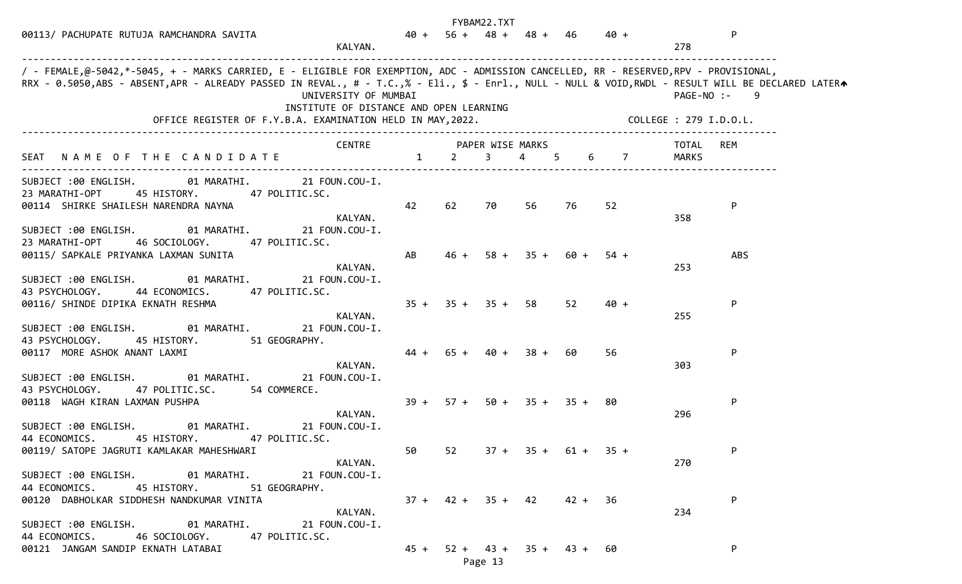|                                                                                                                                                                                                                                                                                                                                                                                                                            |                         |                               | FYBAM22.TXT |             |      |                               |                |                  |
|----------------------------------------------------------------------------------------------------------------------------------------------------------------------------------------------------------------------------------------------------------------------------------------------------------------------------------------------------------------------------------------------------------------------------|-------------------------|-------------------------------|-------------|-------------|------|-------------------------------|----------------|------------------|
| 00113/ PACHUPATE RUTUJA RAMCHANDRA SAVITA<br>KALYAN.                                                                                                                                                                                                                                                                                                                                                                       |                         |                               |             |             |      | $40 + 56 + 48 + 48 + 46$ 40 + | 278            | $\mathsf{P}$     |
| / - FEMALE,@-5042,*-5045, + - MARKS CARRIED, E - ELIGIBLE FOR EXEMPTION, ADC - ADMISSION CANCELLED, RR - RESERVED,RPV - PROVISIONAL,<br>RRX - 0.5050,ABS - ABSENT,APR - ALREADY PASSED IN REVAL., # - T.C.,% - Eli., \$ - Enrl., NULL - NULL & VOID,RWDL - RESULT WILL BE DECLARED LATERA<br>UNIVERSITY OF MUMBAI<br>INSTITUTE OF DISTANCE AND OPEN LEARNING<br>OFFICE REGISTER OF F.Y.B.A. EXAMINATION HELD IN MAY, 2022. |                         |                               |             |             |      | COLLEGE : 279 I.D.O.L.        |                | PAGE-NO :-<br>-9 |
|                                                                                                                                                                                                                                                                                                                                                                                                                            |                         |                               |             |             |      |                               |                |                  |
| SEAT NAME OF THE CANDIDATE 1 2                                                                                                                                                                                                                                                                                                                                                                                             | CENTRE PAPER WISE MARKS |                               | $3^{\circ}$ | 4 5         |      | $6\qquad 7$                   | TOTAL<br>MARKS | REM              |
| SUBJECT :00 ENGLISH. 01 MARATHI. 21 FOUN.COU-I.<br>45 HISTORY. 47 POLITIC.SC.<br>23 MARATHI-OPT<br>00114 SHIRKE SHAILESH NARENDRA NAYNA<br>KALYAN.                                                                                                                                                                                                                                                                         | 42                      | 62                            | 70          | 56          | 76   | 52                            | 358            | P                |
| SUBJECT :00 ENGLISH. 01 MARATHI. 21 FOUN.COU-I.<br>23 MARATHI-OPT<br>46 SOCIOLOGY. 47 POLITIC.SC.<br>00115/ SAPKALE PRIYANKA LAXMAN SUNITA<br>KALYAN.                                                                                                                                                                                                                                                                      | AB                      | $46 +$                        |             | $58 + 35 +$ | 60 + | $54 +$                        | 253            | <b>ABS</b>       |
| SUBJECT :00 ENGLISH.<br>01 MARATHI. 21 FOUN.COU-I.<br>43 PSYCHOLOGY. 44 ECONOMICS. 47 POLITIC.SC.<br>00116/ SHINDE DIPIKA EKNATH RESHMA<br>KALYAN.                                                                                                                                                                                                                                                                         |                         | $35 + 35 + 35 + 58$           |             |             | 52   | $40 +$                        | 255            | P                |
| SUBJECT :00 ENGLISH. 01 MARATHI. 21 FOUN.COU-I.<br>43 PSYCHOLOGY.<br>45 HISTORY. 51 GEOGRAPHY.<br>00117 MORE ASHOK ANANT LAXMI<br>KALYAN.                                                                                                                                                                                                                                                                                  |                         | $44 + 65 + 40 + 38 +$         |             |             | 60   | 56                            | 303            | P                |
| SUBJECT :00 ENGLISH. 01 MARATHI.<br>21 FOUN.COU-I.<br>43 PSYCHOLOGY.<br>47 POLITIC.SC. 54 COMMERCE.<br>00118 WAGH KIRAN LAXMAN PUSHPA                                                                                                                                                                                                                                                                                      |                         | $39 + 57 + 50 + 35 + 35 + 80$ |             |             |      |                               |                | P                |
| KALYAN.<br>SUBJECT :00 ENGLISH.<br>01 MARATHI.<br>21 FOUN.COU-I.<br>44 ECONOMICS. 45 HISTORY. 47 POLITIC.SC.<br>00119/ SATOPE JAGRUTI KAMLAKAR MAHESHWARI                                                                                                                                                                                                                                                                  |                         |                               |             |             |      | 50 $52$ $37 + 35 + 61 + 35 +$ | 296            | P                |
| KALYAN.<br>SUBJECT :00 ENGLISH. 01 MARATHI. 21 FOUN.COU-I.<br>44 ECONOMICS. 45 HISTORY. 51 GEOGRAPHY.                                                                                                                                                                                                                                                                                                                      |                         |                               |             |             |      |                               | 270            |                  |
| 00120 DABHOLKAR SIDDHESH NANDKUMAR VINITA<br>KALYAN.<br>SUBJECT :00 ENGLISH. 01 MARATHI. 21 FOUN.COU-I.<br>44 ECONOMICS. 46 SOCIOLOGY. 47 POLITIC.SC.                                                                                                                                                                                                                                                                      |                         | $37 + 42 + 35 + 42$ 42 + 36   |             |             |      |                               | 234            | P                |
| 00121 JANGAM SANDIP EKNATH LATABAI                                                                                                                                                                                                                                                                                                                                                                                         |                         | $45 + 52 + 43 + 35 + 43 + 60$ | Page 13     |             |      |                               |                | P                |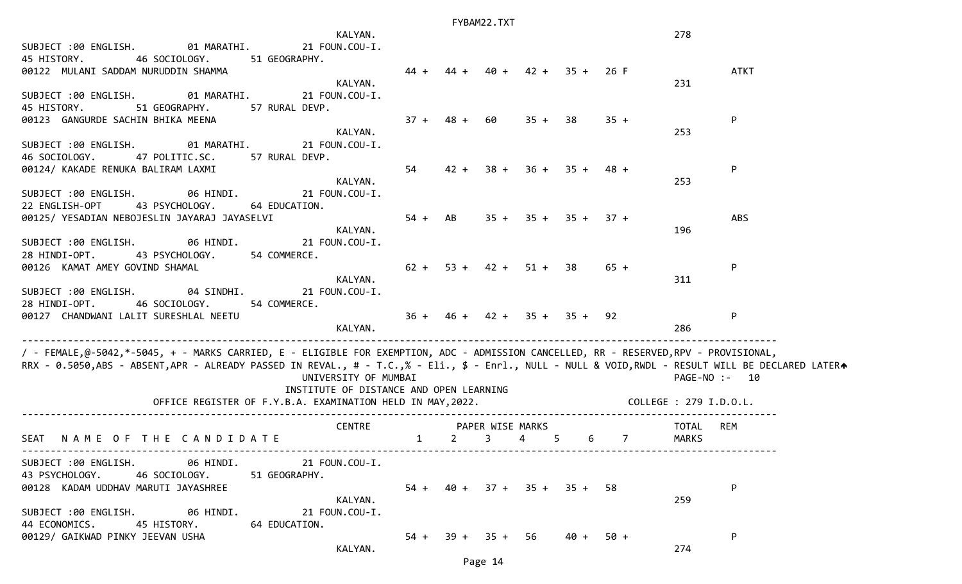|                                                                                                                                                   | KALYAN.                                 |              |                |        |                               |                  |                | 278           |             |
|---------------------------------------------------------------------------------------------------------------------------------------------------|-----------------------------------------|--------------|----------------|--------|-------------------------------|------------------|----------------|---------------|-------------|
| SUBJECT :00 ENGLISH.<br>01 MARATHI.                                                                                                               | 21 FOUN.COU-I.                          |              |                |        |                               |                  |                |               |             |
| 45 HISTORY.<br>46 SOCIOLOGY. 51 GEOGRAPHY.                                                                                                        |                                         |              |                |        |                               |                  |                |               |             |
| 00122 MULANI SADDAM NURUDDIN SHAMMA                                                                                                               |                                         |              |                | 40 +   |                               | $42 + 35 + 26$ F |                |               | <b>ATKT</b> |
|                                                                                                                                                   | KALYAN.                                 |              |                |        |                               |                  |                | 231           |             |
| SUBJECT:00 ENGLISH. 01 MARATHI.                                                                                                                   | 21 FOUN.COU-I.                          |              |                |        |                               |                  |                |               |             |
| 45 HISTORY.<br>51 GEOGRAPHY.<br>57 RURAL DEVP.                                                                                                    |                                         | $37 +$       |                |        | $35 + 38$                     |                  | $35 +$         |               |             |
| 00123 GANGURDE SACHIN BHIKA MEENA                                                                                                                 | KALYAN.                                 |              | 48 +           | 60     |                               |                  |                | 253           | P           |
| SUBJECT :00 ENGLISH.<br>01 MARATHI.                                                                                                               | 21 FOUN.COU-I.                          |              |                |        |                               |                  |                |               |             |
| 47 POLITIC.SC.<br>57 RURAL DEVP.<br>46 SOCIOLOGY.                                                                                                 |                                         |              |                |        |                               |                  |                |               |             |
| 00124/ KAKADE RENUKA BALIRAM LAXMI                                                                                                                |                                         | 54           | $42 +$         | $38 +$ | $36 +$                        |                  | $35 + 48 +$    |               | P           |
|                                                                                                                                                   | KALYAN.                                 |              |                |        |                               |                  |                | 253           |             |
| SUBJECT :00 ENGLISH. 06 HINDI.                                                                                                                    | 21 FOUN.COU-I.                          |              |                |        |                               |                  |                |               |             |
| 22 ENGLISH-OPT<br>43 PSYCHOLOGY.<br>64 EDUCATION.                                                                                                 |                                         |              |                |        |                               |                  |                |               |             |
| 00125/ YESADIAN NEBOJESLIN JAYARAJ JAYASELVI                                                                                                      |                                         |              | $54 + AB$      |        | $35 + 35 + 35 + 37 +$         |                  |                |               | <b>ABS</b>  |
|                                                                                                                                                   | KALYAN.                                 |              |                |        |                               |                  |                | 196           |             |
| 06 HINDI.<br>SUBJECT :00 ENGLISH.                                                                                                                 | 21 FOUN.COU-I.                          |              |                |        |                               |                  |                |               |             |
| 28 HINDI-OPT. 43 PSYCHOLOGY. 54 COMMERCE.                                                                                                         |                                         |              |                |        |                               |                  |                |               |             |
| 00126 KAMAT AMEY GOVIND SHAMAL                                                                                                                    |                                         |              |                |        | $62 + 53 + 42 + 51 + 38$      |                  | $65 +$         |               | P           |
|                                                                                                                                                   | KALYAN.                                 |              |                |        |                               |                  |                | 311           |             |
| SUBJECT :00 ENGLISH. 04 SINDHI. 21 FOUN.COU-I.                                                                                                    |                                         |              |                |        |                               |                  |                |               |             |
| 54 COMMERCE.<br>28 HINDI-OPT.<br>46 SOCIOLOGY.                                                                                                    |                                         |              |                |        |                               |                  |                |               |             |
| 00127 CHANDWANI LALIT SURESHLAL NEETU                                                                                                             |                                         |              |                |        | $36 + 46 + 42 + 35 + 35 + 92$ |                  |                |               | P           |
| ____________________________________                                                                                                              | KALYAN.                                 |              |                |        |                               |                  |                | 286           |             |
| / - FEMALE,@-5042,*-5045, + - MARKS CARRIED, E - ELIGIBLE FOR EXEMPTION, ADC - ADMISSION CANCELLED, RR - RESERVED,RPV - PROVISIONAL,              |                                         |              |                |        |                               |                  |                |               |             |
| RRX - 0.5050,ABS - ABSENT,APR - ALREADY PASSED IN REVAL., # - T.C.,% - Eli., \$ - Enrl., NULL - NULL & VOID,RWDL - RESULT WILL BE DECLARED LATERA |                                         |              |                |        |                               |                  |                |               |             |
|                                                                                                                                                   | UNIVERSITY OF MUMBAI                    |              |                |        |                               |                  |                | PAGE-NO :- 10 |             |
|                                                                                                                                                   | INSTITUTE OF DISTANCE AND OPEN LEARNING |              |                |        |                               |                  |                |               |             |
| OFFICE REGISTER OF F.Y.B.A. EXAMINATION HELD IN MAY, 2022. COLLEGE : 279 I.D.O.L.                                                                 |                                         |              |                |        |                               |                  |                |               |             |
|                                                                                                                                                   |                                         |              |                |        |                               |                  |                |               |             |
|                                                                                                                                                   | <b>CENTRE Example 2018</b>              |              |                |        | PAPER WISE MARKS              |                  |                | TOTAL         | REM         |
| NAME OF THE CANDIDATE<br>SEAT                                                                                                                     |                                         | $\mathbf{1}$ | $\overline{2}$ | 3      | 4                             | 6<br>5           | $\overline{7}$ | MARKS         |             |
|                                                                                                                                                   |                                         |              |                |        |                               |                  |                |               |             |
| SUBJECT :00 ENGLISH. 06 HINDI. 21 FOUN.COU-I.                                                                                                     |                                         |              |                |        |                               |                  |                |               |             |
| 43 PSYCHOLOGY.<br>46 SOCIOLOGY.<br>51 GEOGRAPHY.                                                                                                  |                                         |              |                |        |                               |                  |                |               |             |
| 00128 KADAM UDDHAV MARUTI JAYASHREE                                                                                                               |                                         |              |                |        | $54 + 40 + 37 + 35 + 35 + 58$ |                  |                |               | P           |
|                                                                                                                                                   | KALYAN.                                 |              |                |        |                               |                  |                | 259           |             |
| SUBJECT :00 ENGLISH. 06 HINDI.                                                                                                                    | 21 FOUN.COU-I.                          |              |                |        |                               |                  |                |               |             |
| 44 ECONOMICS.<br>45 HISTORY.<br>64 EDUCATION.                                                                                                     |                                         |              |                |        |                               |                  |                |               |             |
| 00129/ GAIKWAD PINKY JEEVAN USHA                                                                                                                  |                                         |              |                |        | $54 + 39 + 35 + 56$           |                  | 40 + 50 +      |               | P           |
|                                                                                                                                                   | KALYAN.                                 |              |                |        |                               |                  |                | 274           |             |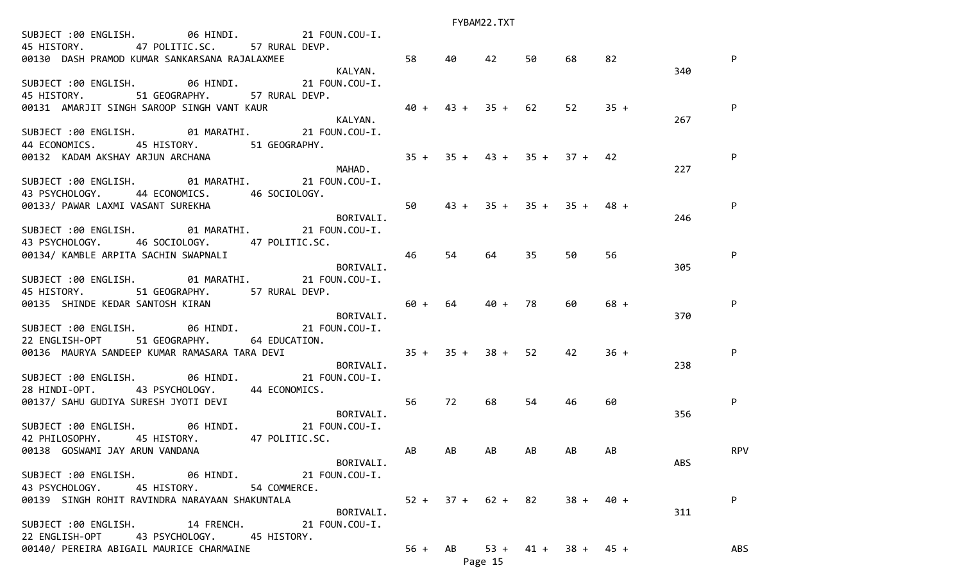| SUBJECT :00 ENGLISH. 06 HINDI. 21 FOUN.COU-I.<br>47 POLITIC.SC. 57 RURAL DEVP.<br>45 HISTORY.<br>00130 DASH PRAMOD KUMAR SANKARSANA RAJALAXMEE | $\frac{1}{2}$ 58               |    | 40             | 42                              | 50 | 68                    | 82     |     | $\mathsf{P}$ |
|------------------------------------------------------------------------------------------------------------------------------------------------|--------------------------------|----|----------------|---------------------------------|----|-----------------------|--------|-----|--------------|
| SUBJECT :00 ENGLISH. 06 HINDI. 21 FOUN.COU-I.<br>51 GEOGRAPHY. 57 RURAL DEVP.<br>45 HISTORY.                                                   | KALYAN.                        |    |                |                                 |    |                       |        | 340 |              |
| 00131 AMARJIT SINGH SAROOP SINGH VANT KAUR                                                                                                     | $40 + 43 + 35 + 62$<br>RALYAN. |    |                |                                 |    | 52                    | $35 +$ | 267 | P            |
| SUBJECT :00 ENGLISH. 01 MARATHI. 21 FOUN.COU-I.<br>44 ECONOMICS. 45 HISTORY. 51 GEOGRAPHY.                                                     |                                |    |                | $35 + 35 + 43 + 35 + 37 + 42$   |    |                       |        |     | P            |
| 00132 KADAM AKSHAY ARJUN ARCHANA<br>MAHAD.<br>SUBJECT :00 ENGLISH. 01 MARATHI. 21 FOUN.COU-I.                                                  |                                |    |                |                                 |    |                       |        | 227 |              |
| 43 PSYCHOLOGY. 44 ECONOMICS. 46 SOCIOLOGY.<br>43 PSYCHOLOGY. 44 LOONGLOUS.<br>00133/ PAWAR LAXMI VASANT SUREKHA BORIVALI.                      | 50                             |    |                | $43 + 35 + 35 + 35 + 48 +$      |    |                       |        | 246 | $\mathsf{P}$ |
| SUBJECT :00 ENGLISH. 01 MARATHI. 21 FOUN.COU-I.<br>43 PSYCHOLOGY. 46 SOCIOLOGY. 47 POLITIC.SC.                                                 |                                |    |                |                                 |    |                       |        |     |              |
| 00134/ KAMBLE ARPITA SACHIN SWAPNALI<br>SUBJECT :00 ENGLISH. 01 MARATHI. 21 FOUN.COU-I.                                                        | 46<br>BORIVALI.                |    | 54             | 64                              | 35 | 50                    | 56     | 305 | P            |
| 45 HISTORY. 51 GEOGRAPHY. 57 RURAL DEVP.<br>80135 SHINDE KEDAR SANTOSH KIRAN<br>SIIRTECT : QQ ENGLITELL AT SHINDER SANTOSH KIRAN               |                                |    | $60 + 64$ 40 + |                                 | 78 | 60                    | $68 +$ |     | P            |
| SUBJECT :00 ENGLISH. 06 HINDI. 21 FOUN.COU-I.<br>22 ENGLISH-OPT 51 GEOGRAPHY. 64 EDUCATION.                                                    |                                |    |                |                                 |    |                       |        | 370 |              |
| 00136 MAURYA SANDEEP KUMAR RAMASARA TARA DEVI $35 + 35 + 38 + 52$                                                                              | BORIVALI.                      |    |                |                                 |    | 42                    | $36 +$ | 238 | P            |
| SUBJECT :00 ENGLISH. 06 HINDI. 21 FOUN.COU-I.<br>28 HINDI-OPT. 43 PSYCHOLOGY. 44 ECONOMICS.<br>00137/ SAHU GUDIYA SURESH JYOTI DEVI            | $\sim$ 56                      |    | 72             | 68                              | 54 | 46                    | 60     |     | P            |
| SUBJECT :00 ENGLISH. 06 HINDI. 21 FOUN.COU-I.                                                                                                  | BORIVALI.                      |    |                |                                 |    |                       |        | 356 |              |
| 42 PHILOSOPHY. 45 HISTORY. 47 POLITIC.SC.<br>00138 GOSWAMI JAY ARUN VANDANA                                                                    | BORIVALI.                      | AB | AB             | AB.                             | AB | AB                    | AB     | ABS | <b>RPV</b>   |
| SUBJECT :00 ENGLISH. 06 HINDI. 21 FOUN.COU-I.<br>43 PSYCHOLOGY. 45 HISTORY. 54 COMMERCE.                                                       |                                |    |                |                                 |    |                       |        |     |              |
| 00139 SINGH ROHIT RAVINDRA NARAYAAN SHAKUNTALA<br>SUBJECT :00 ENGLISH. 14 FRENCH. 21 FOUN.COU-I.                                               | BORIVALI.                      |    |                | $52 + 37 + 62 + 82$ $38 + 40 +$ |    |                       |        | 311 | P            |
| 22 ENGLISH-OPT 43 PSYCHOLOGY. 45 HISTORY.<br>00140/ PEREIRA ABIGAIL MAURICE CHARMAINE                                                          |                                |    | $56 + AB$      |                                 |    | $53 + 41 + 38 + 45 +$ |        |     | ABS          |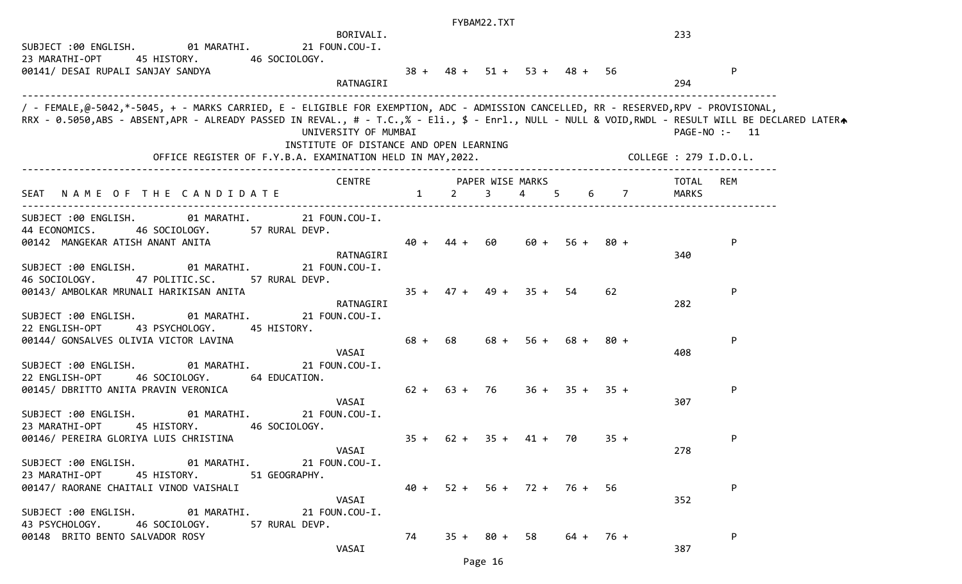| SUBJECT :00 ENGLISH. 01 MARATHI.<br>23 MARATHI-OPT<br>45 HISTORY. 46 SOCIOLOGY.<br>00141/ DESAI RUPALI SANJAY SANDYA                                                                                                                                                                                                                                                           | BORIVALI.<br>21 FOUN.COU-I.<br>RATNAGIRI                        |        |                |                | $38 + 48 + 51 + 53 + 48 + 56$ |                  |        | 233<br>294 | ${\sf P}$     |
|--------------------------------------------------------------------------------------------------------------------------------------------------------------------------------------------------------------------------------------------------------------------------------------------------------------------------------------------------------------------------------|-----------------------------------------------------------------|--------|----------------|----------------|-------------------------------|------------------|--------|------------|---------------|
| / - FEMALE,@-5042,*-5045, + - MARKS CARRIED, E - ELIGIBLE FOR EXEMPTION, ADC - ADMISSION CANCELLED, RR - RESERVED,RPV - PROVISIONAL,<br>RRX - 0.5050,ABS - ABSENT,APR - ALREADY PASSED IN REVAL., # - T.C.,% - Eli., \$ - Enrl., NULL - NULL & VOID,RWDL - RESULT WILL BE DECLARED LATERA<br>OFFICE REGISTER OF F.Y.B.A. EXAMINATION HELD IN MAY, 2022. COLLEGE : 279 I.D.O.L. | UNIVERSITY OF MUMBAI<br>INSTITUTE OF DISTANCE AND OPEN LEARNING |        |                |                |                               |                  |        |            | PAGE-NO :- 11 |
|                                                                                                                                                                                                                                                                                                                                                                                | CENTRE PAPER WISE MARKS                                         |        |                |                |                               |                  |        | TOTAL      | REM           |
| NAME OF THE CANDIDATE<br>SEAT                                                                                                                                                                                                                                                                                                                                                  |                                                                 |        | $1 \t 2$       |                | 3 4 5                         |                  | 6 7    | MARKS      |               |
| SUBJECT :00 ENGLISH.<br>44 ECONOMICS. 46 SOCIOLOGY. 57 RURAL DEVP.<br>00142 MANGEKAR ATISH ANANT ANITA<br>01 MARATHI.<br>SUBJECT :00 ENGLISH.                                                                                                                                                                                                                                  | 01 MARATHI. 21 FOUN.COU-I.<br>RATNAGIRI<br>21 FOUN.COU-I.       | $40 +$ |                | 44 + 60        |                               | $60 + 56 + 80 +$ |        | 340        | ${\sf P}$     |
| 46 SOCIOLOGY.<br>47 POLITIC.SC.<br>00143/ AMBOLKAR MRUNALI HARIKISAN ANITA<br>SUBJECT :00 ENGLISH. 01 MARATHI.                                                                                                                                                                                                                                                                 | 57 RURAL DEVP.<br>RATNAGIRI<br>21 FOUN.COU-I.                   | $35 +$ |                |                | $47 + 49 + 35 + 54$           |                  | 62     | 282        | P             |
| 22 ENGLISH-OPT<br>43 PSYCHOLOGY.<br>45 HISTORY.<br>00144/ GONSALVES OLIVIA VICTOR LAVINA                                                                                                                                                                                                                                                                                       | VASAI                                                           | $68 +$ | 68 —           |                | $68 + 56 + 68 + 80 +$         |                  |        | 408        | P             |
| SUBJECT :00 ENGLISH.<br>01 MARATHI.<br>22 ENGLISH-OPT<br>46 SOCIOLOGY.<br>00145/ DBRITTO ANITA PRAVIN VERONICA                                                                                                                                                                                                                                                                 | 21 FOUN.COU-I.<br>64 EDUCATION.<br>VASAI                        |        | $62 + 63 + 76$ |                |                               | $36 + 35 + 35 +$ |        | 307        | P             |
| SUBJECT :00 ENGLISH. 01 MARATHI.<br>23 MARATHI-OPT<br>45 HISTORY.<br>00146/ PEREIRA GLORIYA LUIS CHRISTINA                                                                                                                                                                                                                                                                     | 21 FOUN.COU-I.<br>46 SOCIOLOGY.<br>VASAI                        |        |                |                | $35 + 62 + 35 + 41 + 70$      |                  | $35 +$ | 278        | P             |
| SUBJECT :00 ENGLISH. 01 MARATHI. 21 FOUN.COU-I.<br>23 MARATHI-OPT<br>45 HISTORY. 51 GEOGRAPHY.<br>00147/ RAORANE CHAITALI VINOD VAISHALI                                                                                                                                                                                                                                       | VASAI                                                           |        |                |                | $40 + 52 + 56 + 72 + 76 + 56$ |                  |        | 352        | P             |
| SUBJECT :00 ENGLISH. 01 MARATHI. 21 FOUN.COU-I.<br>43 PSYCHOLOGY.<br>46 SOCIOLOGY.<br>00148 BRITO BENTO SALVADOR ROSY                                                                                                                                                                                                                                                          | 57 RURAL DEVP.<br>VASAI                                         | 74     |                | $35 + 80 + 58$ |                               | 64 + 76 +        |        | 387        | P             |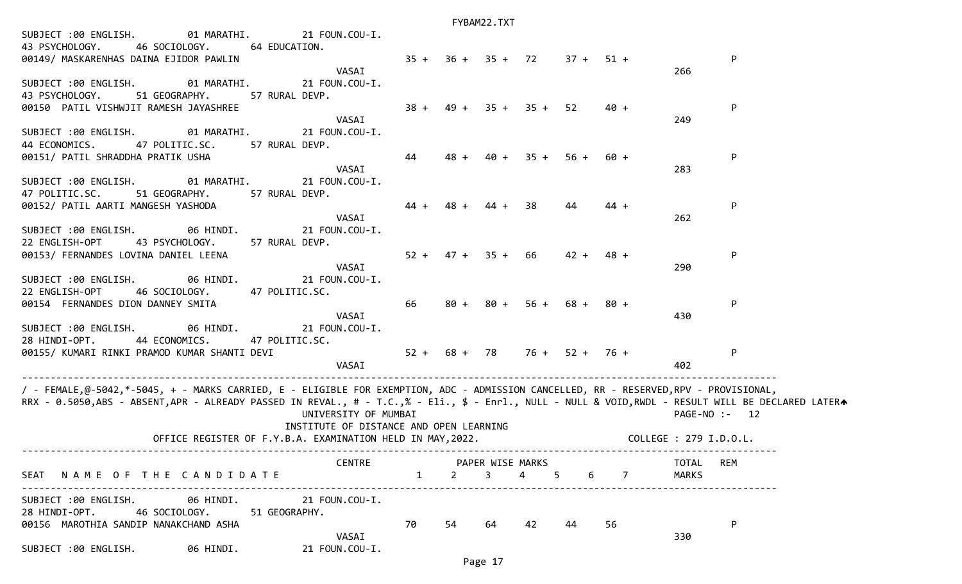|                                                                                                                                                                                                                                                                                           |                                                                                                       |              |        | $1.1$ $1.0$ $-1.2$ $-1.0$ $-1.0$ |        |                  |                |                              |
|-------------------------------------------------------------------------------------------------------------------------------------------------------------------------------------------------------------------------------------------------------------------------------------------|-------------------------------------------------------------------------------------------------------|--------------|--------|----------------------------------|--------|------------------|----------------|------------------------------|
| SUBJECT :00 ENGLISH.<br>01 MARATHI.<br>46 SOCIOLOGY.<br>43 PSYCHOLOGY.<br>00149/ MASKARENHAS DAINA EJIDOR PAWLIN                                                                                                                                                                          | 21 FOUN.COU-I.<br>64 EDUCATION.                                                                       |              |        | $35 + 36 + 35 + 72$              |        |                  | $37 + 51 +$    | P                            |
| SUBJECT :00 ENGLISH.<br>01 MARATHI.<br>43 PSYCHOLOGY.<br>51 GEOGRAPHY.                                                                                                                                                                                                                    | VASAI<br>21 FOUN.COU-I.<br>57 RURAL DEVP.                                                             |              |        |                                  |        |                  |                | 266                          |
| 00150 PATIL VISHWJIT RAMESH JAYASHREE<br>SUBJECT :00 ENGLISH.<br>01 MARATHI.                                                                                                                                                                                                              | VASAI<br>21 FOUN.COU-I.                                                                               | $38 +$       | 49 +   | $35 + 35 +$                      |        | 52               | $40 +$         | P<br>249                     |
| 44 ECONOMICS.<br>47 POLITIC.SC.<br>00151/ PATIL SHRADDHA PRATIK USHA                                                                                                                                                                                                                      | 57 RURAL DEVP.<br>VASAI                                                                               | 44           |        | 40 +                             | $35 +$ | $56 +$           | 60 +           | P<br>283                     |
| SUBJECT :00 ENGLISH.<br>01 MARATHI.<br>47 POLITIC.SC.<br>51 GEOGRAPHY.<br>00152/ PATIL AARTI MANGESH YASHODA                                                                                                                                                                              | 21 FOUN.COU-I.<br>57 RURAL DEVP.                                                                      | $44 +$       |        | 44 +                             | 38     | 44               | $44 +$         | P                            |
| SUBJECT :00 ENGLISH. 06 HINDI.<br>22 ENGLISH-OPT<br>43 PSYCHOLOGY.                                                                                                                                                                                                                        | VASAI<br>21 FOUN.COU-I.<br>57 RURAL DEVP.                                                             |              |        |                                  |        |                  |                | 262                          |
| 00153/ FERNANDES LOVINA DANIEL LEENA<br>SUBJECT :00 ENGLISH.<br>06 HINDI.                                                                                                                                                                                                                 | VASAI<br>21 FOUN.COU-I.                                                                               | $52 +$       |        | $47 + 35 + 66$                   |        | $42 +$           | $48 +$         | P<br>290                     |
| 22 ENGLISH-OPT<br>46 SOCIOLOGY.<br>00154 FERNANDES DION DANNEY SMITA                                                                                                                                                                                                                      | 47 POLITIC.SC.<br>VASAI                                                                               | 66           | $80 +$ | 80 +                             | $56 +$ |                  | 68 + 80 +      | P<br>430                     |
| 06 HINDI.<br>SUBJECT :00 ENGLISH.<br>28 HINDI-OPT.<br>44 ECONOMICS.                                                                                                                                                                                                                       | 21 FOUN.COU-I.<br>47 POLITIC.SC.                                                                      |              |        |                                  |        |                  |                |                              |
| 00155/ KUMARI RINKI PRAMOD KUMAR SHANTI DEVI                                                                                                                                                                                                                                              | VASAI                                                                                                 |              |        | $52 + 68 + 78$                   |        | $76 + 52 + 76 +$ |                | P<br>402                     |
| / - FEMALE,@-5042,*-5045, + - MARKS CARRIED, E - ELIGIBLE FOR EXEMPTION, ADC - ADMISSION CANCELLED, RR - RESERVED,RPV - PROVISIONAL,<br>RRX - 0.5050,ABS - ABSENT,APR - ALREADY PASSED IN REVAL., # - T.C.,% - Eli., \$ - Enrl., NULL - NULL & VOID,RWDL - RESULT WILL BE DECLARED LATERA | UNIVERSITY OF MUMBAI                                                                                  |              |        |                                  |        |                  |                | $PAGE-NO: - 12$              |
|                                                                                                                                                                                                                                                                                           | INSTITUTE OF DISTANCE AND OPEN LEARNING<br>OFFICE REGISTER OF F.Y.B.A. EXAMINATION HELD IN MAY, 2022. |              |        |                                  |        |                  |                | COLLEGE : 279 I.D.O.L.       |
| SEAT NAME OF THE CANDIDATE                                                                                                                                                                                                                                                                | CENTRE PAPER WISE MARKS                                                                               | $\mathbf{1}$ |        | $2 \quad 3 \quad 4 \quad 5$      |        | 6                | $\overline{7}$ | <b>REM</b><br>TOTAL<br>MARKS |
| SUBJECT :00 ENGLISH. 06 HINDI. 21 FOUN.COU-I.<br>28 HINDI-OPT. 46 SOCIOLOGY. 51 GEOGRAPHY.<br>00156 MAROTHIA SANDIP NANAKCHAND ASHA                                                                                                                                                       |                                                                                                       | 70           | 54     | 64                               | 42 44  |                  | 56             | P                            |
| SUBJECT :00 ENGLISH. 06 HINDI. 21 FOUN.COU-I.                                                                                                                                                                                                                                             | VASAI                                                                                                 |              |        |                                  |        |                  |                | 330                          |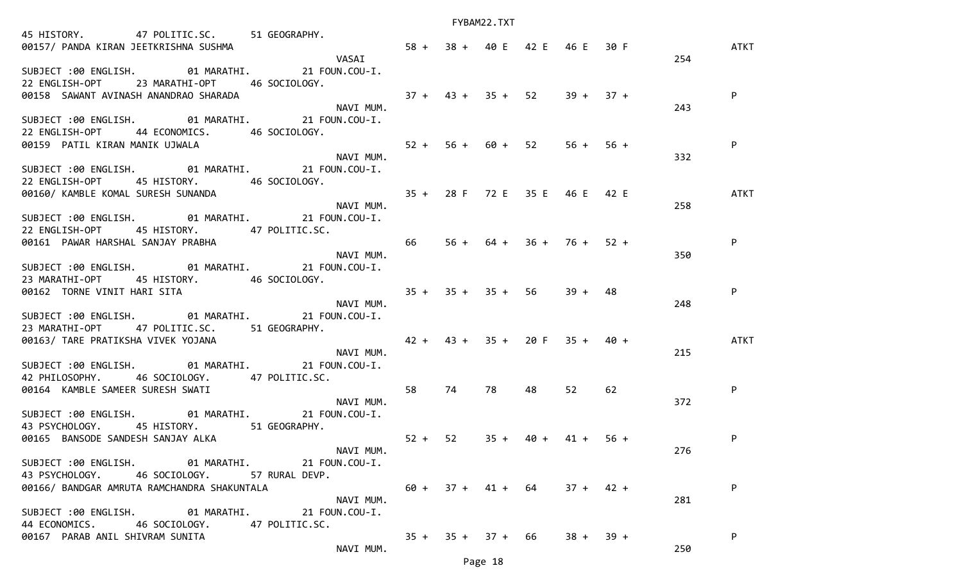| 45 HISTORY. 47 POLITIC.SC. 51 GEOGRAPHY.                                          |                                 |                                 |      |             |    |     |             |
|-----------------------------------------------------------------------------------|---------------------------------|---------------------------------|------|-------------|----|-----|-------------|
|                                                                                   |                                 |                                 |      |             |    |     | ATKT        |
|                                                                                   |                                 |                                 |      |             |    | 254 |             |
| SUBJECT :00 ENGLISH. 01 MARATHI. 21 FOUN.COU-I.                                   |                                 |                                 |      |             |    |     |             |
| 22 ENGLISH-OPT 23 MARATHI-OPT 46 SOCIOLOGY.                                       |                                 |                                 |      |             |    |     |             |
| 00158 SAWANT AVINASH ANANDRAO SHARADA                                             | $37 + 43 + 35 + 52$ $39 + 37 +$ |                                 |      |             |    |     | P           |
| NAVI MUM.                                                                         |                                 |                                 |      |             |    |     |             |
|                                                                                   |                                 |                                 |      |             |    | 243 |             |
| SUBJECT :00 ENGLISH. 01 MARATHI. 21 FOUN.COU-I.                                   |                                 |                                 |      |             |    |     |             |
| 22 ENGLISH-OPT 44 ECONOMICS. 46 SOCIOLOGY.                                        |                                 |                                 |      |             |    |     |             |
| 80159 PATIL KIRAN MANIK UJWALA<br>80159 PATIL KIRAN MANIK UJWALA NAVI MUM.        |                                 |                                 |      |             |    |     | P           |
|                                                                                   |                                 |                                 |      |             |    | 332 |             |
| SUBJECT :00 ENGLISH. 01 MARATHI. 21 FOUN.COU-I.                                   |                                 |                                 |      |             |    |     |             |
| 22 ENGLISH-OPT 45 HISTORY. 46 SOCIOLOGY.                                          |                                 |                                 |      |             |    |     |             |
|                                                                                   |                                 |                                 |      |             |    |     | ATKT        |
| 00160/ KAMBLE KOMAL SURESH SUNANDA<br>NAVI MUM. 35 + 28 F 72 E 35 E 46 E 42 E     |                                 |                                 |      |             |    | 258 |             |
| SUBJECT :00 ENGLISH. 01 MARATHI. 21 FOUN.COU-I.                                   |                                 |                                 |      |             |    |     |             |
|                                                                                   |                                 |                                 |      |             |    |     |             |
| 22 ENGLISH-OPT 45 HISTORY. 47 POLITIC.SC.                                         |                                 |                                 |      |             |    |     |             |
|                                                                                   | $66$ $56 + 64 + 36 + 76 + 52 +$ |                                 |      |             |    |     | P           |
| 22 ENGLISH-OFT<br>00161 PAWAR HARSHAL SANJAY PRABHA<br>NAVI MUM.                  |                                 |                                 |      |             |    | 350 |             |
| SUBJECT :00 ENGLISH. 01 MARATHI. 21 FOUN.COU-I.                                   |                                 |                                 |      |             |    |     |             |
| 23 MARATHI-OPT 45 HISTORY. 46 SOCIOLOGY.                                          |                                 |                                 |      |             |    |     |             |
|                                                                                   |                                 |                                 |      |             |    |     | P           |
| 90162 TORNE VINIT HARI SITA<br>NAVI MUM.<br>NAVI MUM.                             |                                 |                                 |      |             |    | 248 |             |
| SUBJECT :00 ENGLISH. 01 MARATHI. 21 FOUN.COU-I.                                   |                                 |                                 |      |             |    |     |             |
| 23 MARATHI-OPT 47 POLITIC.SC. 51 GEOGRAPHY.                                       |                                 |                                 |      |             |    |     |             |
| 00163/ TARE PRATIKSHA VIVEK YOJANA (2001) 2010 12 + 42 + 43 + 35 + 20 F 35 + 40 + |                                 |                                 |      |             |    |     | <b>ATKT</b> |
|                                                                                   | NAVI MUM.                       |                                 |      |             |    | 215 |             |
| SUBJECT :00 ENGLISH. 01 MARATHI. 21 FOUN.COU-I.                                   |                                 |                                 |      |             |    |     |             |
| 42 PHILOSOPHY. 46 SOCIOLOGY. 47 POLITIC.SC.                                       |                                 |                                 |      |             |    |     |             |
|                                                                                   | 58                              | 74 78                           | 48   | 52          | 62 |     | P           |
| 42 PHILOSOFIII.<br>00164 KAMBLE SAMEER SURESH SWATI NAVI MUM.                     |                                 |                                 |      |             |    |     |             |
|                                                                                   |                                 |                                 |      |             |    | 372 |             |
| SUBJECT :00 ENGLISH. 01 MARATHI. 21 FOUN.COU-I.                                   |                                 |                                 |      |             |    |     |             |
| 43 PSYCHOLOGY. 45 HISTORY. 51 GEOGRAPHY.                                          |                                 |                                 |      |             |    |     |             |
| 00165 BANSODE SANDESH SANJAY ALKA                                                 | $52 + 52$ $35 +$                |                                 | 40 + | $41 + 56 +$ |    |     | P           |
|                                                                                   | NAVI MUM.                       |                                 |      |             |    | 276 |             |
| SUBJECT :00 ENGLISH. 01 MARATHI. 21 FOUN.COU-I.                                   |                                 |                                 |      |             |    |     |             |
| 43 PSYCHOLOGY. 46 SOCIOLOGY. 57 RURAL DEVP.                                       |                                 |                                 |      |             |    |     |             |
| 00166/ BANDGAR AMRUTA RAMCHANDRA SHAKUNTALA                                       |                                 | $60 + 37 + 41 + 64$ $37 + 42 +$ |      |             |    |     | P           |
|                                                                                   | NAVI MUM.                       |                                 |      |             |    | 281 |             |
| SUBJECT :00 ENGLISH. 01 MARATHI. 21 FOUN.COU-I.                                   |                                 |                                 |      |             |    |     |             |
| 44 ECONOMICS.<br>46 SOCIOLOGY.<br>47 POLITIC.SC.                                  |                                 |                                 |      |             |    |     |             |
| 00167 PARAB ANIL SHIVRAM SUNITA                                                   |                                 | $35 + 35 + 37 + 66$             |      | $38 + 39 +$ |    |     | P           |
|                                                                                   | NAVI MUM.                       |                                 |      |             |    | 250 |             |
|                                                                                   |                                 |                                 |      |             |    |     |             |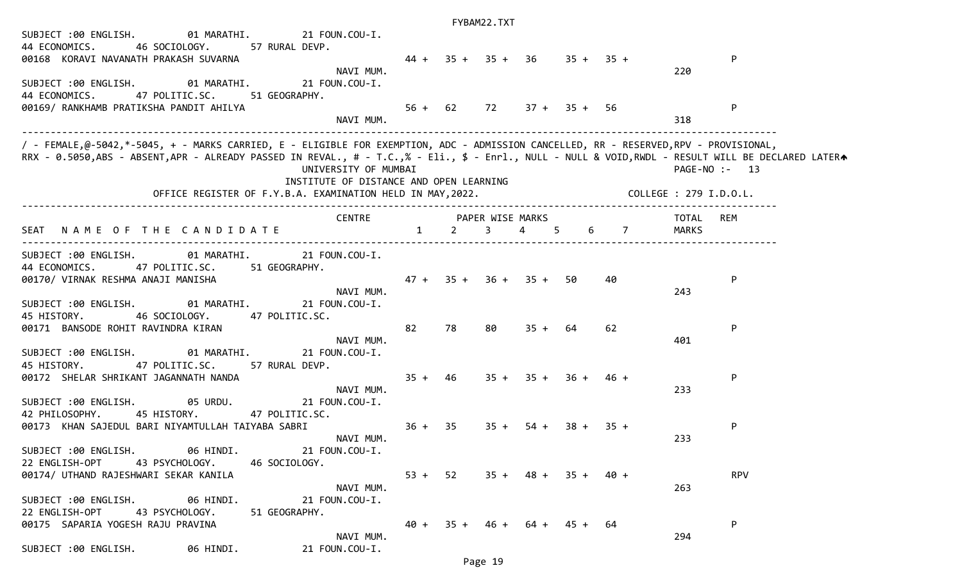## FYBAM22.TXT SUBJECT :00 ENGLISH. 01 MARATHI. 21 FOUN.COU-I. 44 ECONOMICS. 46 SOCIOLOGY. 57 RURAL DEVP. 00168 KORAVI NAVANATH PRAKASH SUVARNA 44 + 35 + 35 + 36 35 + 35 + P NAVI MUM. 220 SUBJECT :00 ENGLISH. 01 MARATHI. 21 FOUN.COU-I. 44 ECONOMICS. 47 POLITIC.SC. 51 GEOGRAPHY. 00169/ RANKHAMB PRATIKSHA PANDIT AHILYA 56 + 62 72 37 + 35 + 56 P NAVI MUM. 318 ------------------------------------------------------------------------------------------------------------------------------------ / - FEMALE,@-5042,\*-5045, + - MARKS CARRIED, E - ELIGIBLE FOR EXEMPTION, ADC - ADMISSION CANCELLED, RR - RESERVED,RPV - PROVISIONAL, RRX - 0.5050,ABS - ABSENT,APR - ALREADY PASSED IN REVAL., # - T.C.,% - Eli., \$ - Enrl., NULL - NULL & VOID,RWDL - RESULT WILL BE DECLARED LATERA UNIVERSITY OF MUMBAI PAGE-NO :- 13 INSTITUTE OF DISTANCE AND OPEN LEARNING OFFICE REGISTER OF F.Y.B.A. EXAMINATION HELD IN MAY,2022. COLLEGE : 279 I.D.O.L. ------------------------------------------------------------------------------------------------------------------------------------ CENTRE PAPER WISE MARKS TOTAL REM SEAT NAME OF THE CANDIDATE 1 2 3 4 5 6 7 MARKS ------------------------------------------------------------------------------------------------------------------------------------ SUBJECT :00 ENGLISH. 01 MARATHI. 21 FOUN.COU-I. 44 ECONOMICS. 47 POLITIC.SC. 51 GEOGRAPHY. 00170/ VIRNAK RESHMA ANAJI MANISHA 47 + 35 + 36 + 35 + 50 40 P NAVI MUM. 243 SUBJECT :00 ENGLISH. 01 MARATHI. 21 FOUN.COU-I. 45 HISTORY. 46 SOCIOLOGY. 47 POLITIC.SC. 00171 BANSODE ROHIT RAVINDRA KIRAN 82 78 80 35 + 64 62 P NAVI MUM. 401 SUBJECT :00 ENGLISH. 01 MARATHI. 21 FOUN.COU-I. 45 HISTORY. 47 POLITIC.SC. 57 RURAL DEVP. 00172 SHELAR SHRIKANT JAGANNATH NANDA 35 + 46 35 + 35 + 36 + 46 + P NAVI MUM. 233 SUBJECT :00 ENGLISH. 05 URDU. 21 FOUN.COU-I. 42 PHILOSOPHY. 45 HISTORY. 47 POLITIC.SC. 00173 KHAN SAJEDUL BARI NIYAMTULLAH TAIYABA SABRI 36 + 35 35 35 + 35 + 38 + 35 + P NAVI MUM. 233 SUBJECT :00 ENGLISH. 06 HINDI. 21 FOUN.COU-I. 22 ENGLISH-OPT 43 PSYCHOLOGY. 46 SOCIOLOGY. 00174/ UTHAND RAJESHWARI SEKAR KANILA 53 + 52 35 + 48 + 35 + 40 + RPV NAVI MUM. 263 SUBJECT :00 ENGLISH. 06 HINDI. 21 FOUN.COU-I. 22 ENGLISH-OPT 43 PSYCHOLOGY. 51 GEOGRAPHY. 00175 SAPARIA YOGESH RAJU PRAVINA 40 + 35 + 46 + 64 + 45 + 64 P NAVI MUM. 294

SUBJECT :00 ENGLISH. 06 HINDI. 21 FOUN.COU-I.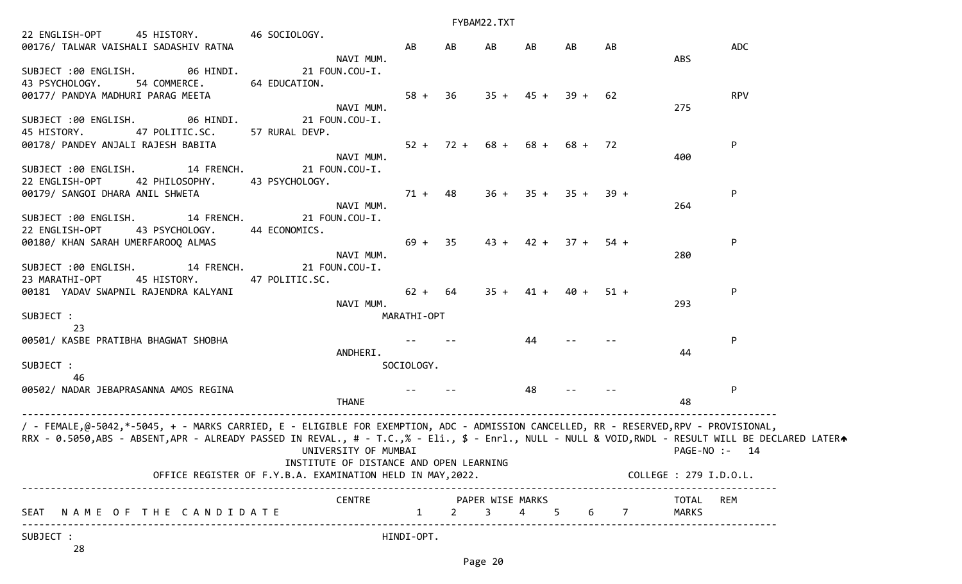|                                                                                                                                                                                                                                                                                          |                                                                                                       |                        |    | FYBAM22.TXT                                     |             |                       |     |                           |              |
|------------------------------------------------------------------------------------------------------------------------------------------------------------------------------------------------------------------------------------------------------------------------------------------|-------------------------------------------------------------------------------------------------------|------------------------|----|-------------------------------------------------|-------------|-----------------------|-----|---------------------------|--------------|
| 22 ENGLISH-OPT 45 HISTORY. 46 SOCIOLOGY.<br>00176/ TALWAR VAISHALI SADASHIV RATNA                                                                                                                                                                                                        |                                                                                                       | AB                     | AB | AB                                              | AB          | AB                    | AB  |                           | <b>ADC</b>   |
| SUBJECT :00 ENGLISH. 06 HINDI.<br>43 PSYCHOLOGY.<br>54 COMMERCE.                                                                                                                                                                                                                         | NAVI MUM.<br>21 FOUN.COU-I.<br>64 EDUCATION.                                                          |                        |    |                                                 |             |                       |     | <b>ABS</b>                |              |
| 00177/ PANDYA MADHURI PARAG MEETA                                                                                                                                                                                                                                                        | NAVI MUM.                                                                                             | $58 + 36$              |    |                                                 | $35 + 45 +$ | $39 + 62$             |     | 275                       | <b>RPV</b>   |
| SUBJECT :00 ENGLISH. 06 HINDI.<br>45 HISTORY.<br>47 POLITIC.SC.                                                                                                                                                                                                                          | 21 FOUN.COU-I.<br>57 RURAL DEVP.                                                                      |                        |    |                                                 |             |                       |     |                           |              |
| 00178/ PANDEY ANJALI RAJESH BABITA<br>SUBJECT :00 ENGLISH. 14 FRENCH.                                                                                                                                                                                                                    | NAVI MUM.<br>21 FOUN.COU-I.                                                                           |                        |    | $52 + 72 + 68 + 68 + 68 + 72$                   |             |                       |     | 400                       | $\mathsf{P}$ |
| 22 ENGLISH-OPT<br>42 PHILOSOPHY. 43 PSYCHOLOGY.<br>00179/ SANGOI DHARA ANIL SHWETA                                                                                                                                                                                                       |                                                                                                       | $71 + 48$              |    |                                                 |             | $36 + 35 + 35 + 39 +$ |     |                           | $\mathsf{P}$ |
| SUBJECT :00 ENGLISH. 14 FRENCH.                                                                                                                                                                                                                                                          | NAVI MUM.<br>21 FOUN.COU-I.                                                                           |                        |    |                                                 |             |                       |     | 264                       |              |
| 43 PSYCHOLOGY. 44 ECONOMICS.<br>22 ENGLISH-OPT<br>00180/ KHAN SARAH UMERFAROOQ ALMAS                                                                                                                                                                                                     | NAVI MUM.                                                                                             | $69 + 35$              |    |                                                 |             | $43 + 42 + 37 + 54 +$ |     | 280                       | $\mathsf{P}$ |
| SUBJECT :00 ENGLISH. 14 FRENCH.<br>23 MARATHI-OPT<br>45 HISTORY. 47 POLITIC.SC.                                                                                                                                                                                                          | 21 FOUN.COU-I.                                                                                        |                        |    |                                                 |             |                       |     |                           |              |
| 00181 YADAV SWAPNIL RAJENDRA KALYANI                                                                                                                                                                                                                                                     | NAVI MUM.                                                                                             | $62 + 64$              |    |                                                 |             | $35 + 41 + 40 + 51 +$ |     | 293                       | $\mathsf{P}$ |
| SUBJECT :<br>23                                                                                                                                                                                                                                                                          |                                                                                                       | MARATHI-OPT            |    |                                                 |             |                       |     |                           |              |
| 00501/ KASBE PRATIBHA BHAGWAT SHOBHA                                                                                                                                                                                                                                                     | ANDHERI.                                                                                              |                        |    |                                                 | 44          |                       |     | 44                        | $\mathsf{P}$ |
| SUBJECT :<br>46                                                                                                                                                                                                                                                                          |                                                                                                       | SOCIOLOGY.             |    |                                                 |             |                       |     |                           |              |
| 00502/ NADAR JEBAPRASANNA AMOS REGINA                                                                                                                                                                                                                                                    | <b>THANE</b>                                                                                          |                        |    |                                                 | 48          |                       |     | 48                        | P            |
| / - FEMALE,@-5042,*-5045, + - MARKS CARRIED, E - ELIGIBLE FOR EXEMPTION, ADC - ADMISSION CANCELLED, RR - RESERVED,RPV - PROVISIONAL,<br>RRX - 0.5050,ABS - ABSENT,APR - ALREADY PASSED IN REVAL., # - T.C.,% - Eli., \$ - Enrl., NULL - NULL & VOID,RWDL - RESULT WILL BE DECLARED LATER | UNIVERSITY OF MUMBAI                                                                                  |                        |    |                                                 |             |                       |     | PAGE-NO :- 14             |              |
|                                                                                                                                                                                                                                                                                          | INSTITUTE OF DISTANCE AND OPEN LEARNING<br>OFFICE REGISTER OF F.Y.B.A. EXAMINATION HELD IN MAY, 2022. |                        |    |                                                 |             |                       |     | COLLEGE : 279 I.D.O.L.    |              |
| SEAT NAME OF THE CANDIDATE                                                                                                                                                                                                                                                               | <b>CENTRE</b>                                                                                         | $1 \quad \blacksquare$ |    | PAPER WISE MARKS<br>$2 \quad 3 \quad 4 \quad 5$ |             |                       | 6 7 | TOTAL REM<br><b>MARKS</b> |              |
| SUBJECT :                                                                                                                                                                                                                                                                                |                                                                                                       | HINDI-OPT.             |    |                                                 |             |                       |     |                           |              |

28